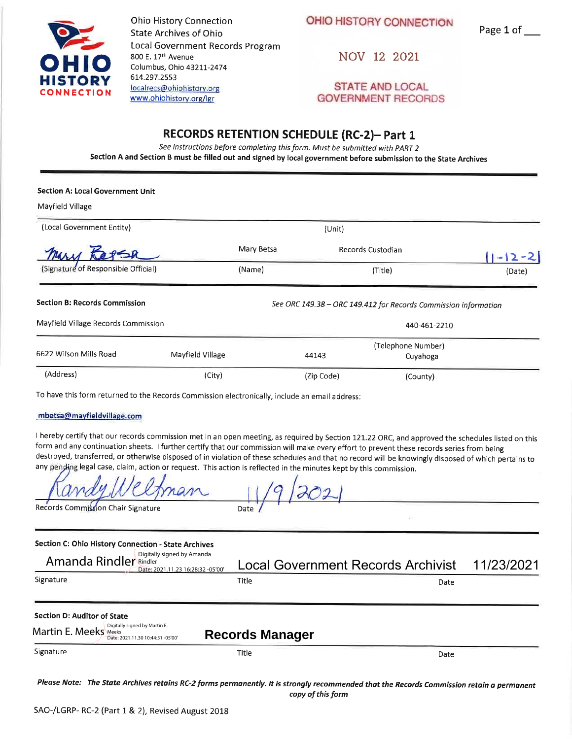

**Ohio History Connection State Archives of Ohio** Local Government Records Program 800 E. 17th Avenue Columbus, Ohio 43211-2474 614.297.2553 localrecs@ohiohistory.org www.ohiohistory.org/lgr

OHIO HISTORY CONNECTION

Page 1 of \_\_

NOV 12 2021

**STATE AND LOCAL GOVERNMENT RECORDS** 

## **RECORDS RETENTION SCHEDULE (RC-2)- Part 1**

See instructions before completing this form. Must be submitted with PART 2 Section A and Section B must be filled out and signed by local government before submission to the State Archives

## **Section A: Local Government Unit**

Mayfield Village

| (Local Government Entity)            |                  | (Unit)            |            |                                                                 |           |
|--------------------------------------|------------------|-------------------|------------|-----------------------------------------------------------------|-----------|
| mary.                                |                  | Mary Betsa        |            | Records Custodian                                               | $ - 2-2 $ |
| (Signature of Responsible Official)  |                  | (Name)<br>(Title) |            |                                                                 | (Date)    |
| <b>Section B: Records Commission</b> |                  |                   |            | See ORC 149.38 - ORC 149.412 for Records Commission information |           |
| Mayfield Village Records Commission  |                  |                   |            | 440-461-2210                                                    |           |
| 6622 Wilson Mills Road               |                  |                   |            | (Telephone Number)                                              |           |
|                                      | Mayfield Village |                   | 44143      | Cuyahoga                                                        |           |
| (Address)                            | (City)           |                   | (Zip Code) | (County)                                                        |           |

To have this form returned to the Records Commission electronically, include an email address:

## mbetsa@mayfieldvillage.com

I hereby certify that our records commission met in an open meeting, as required by Section 121.22 ORC, and approved the schedules listed on this form and any continuation sheets. I further certify that our commission will make every effort to prevent these records series from being destroyed, transferred, or otherwise disposed of in violation of these schedules and that no record will be knowingly disposed of which pertains to any pending legal case, claim, action or request. This action is reflected in the minutes kept by this commission.

Records Commission Chair Signature

| Section C: Ohio History Connection - State Archives                                       |                                           |      |            |
|-------------------------------------------------------------------------------------------|-------------------------------------------|------|------------|
| Digitally signed by Amanda<br>Amanda Rindler Rindler<br>Date: 2021.11.23 16:28:32 -05'00' | <b>Local Government Records Archivist</b> |      | 11/23/2021 |
| Signature                                                                                 | Title                                     | Date |            |
| Section D: Auditor of State                                                               |                                           |      |            |
| Digitally signed by Martin E.<br>Martin E. Meeks<br>Date: 2021.11.30 10:44:51 -05'00'     | <b>Records Manager</b>                    |      |            |
| Signature                                                                                 | <b>Title</b>                              | Date |            |
|                                                                                           |                                           |      |            |

Please Note: The State Archives retains RC-2 forms permanently. It is strongly recommended that the Records Commission retain a permanent copy of this form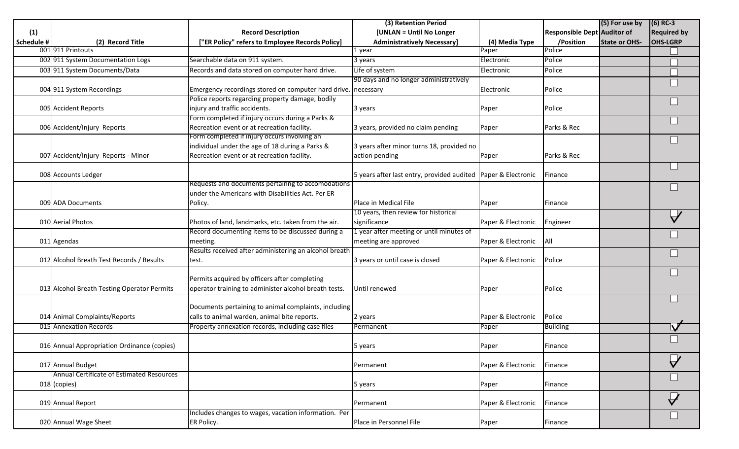|                   |                                             |                                                               | (3) Retention Period                                          |                    |                             | (5) For use by       | $(6)$ RC-3                    |
|-------------------|---------------------------------------------|---------------------------------------------------------------|---------------------------------------------------------------|--------------------|-----------------------------|----------------------|-------------------------------|
| (1)               |                                             | <b>Record Description</b>                                     | [UNLAN = Until No Longer                                      |                    | Responsible Dept Auditor of |                      | <b>Required by</b>            |
| <b>Schedule #</b> | (2) Record Title                            | "ER Policy" refers to Employee Records Policy]                | <b>Administratively Necessary]</b>                            | (4) Media Type     | /Position                   | <b>State or OHS-</b> | <b>OHS-LGRP</b>               |
|                   | 001 911 Printouts                           |                                                               | 1 year                                                        | Paper              | Police                      |                      |                               |
|                   | 002 911 System Documentation Logs           | Searchable data on 911 system.                                | 3 years                                                       | Electronic         | Police                      |                      |                               |
|                   | 003 911 System Documents/Data               | Records and data stored on computer hard drive.               | Life of system                                                | Electronic         | Police                      |                      |                               |
|                   |                                             |                                                               | 90 days and no longer administratively                        |                    |                             |                      |                               |
|                   | 004 911 System Recordings                   | Emergency recordings stored on computer hard drive. necessary |                                                               | Electronic         | Police                      |                      |                               |
|                   |                                             | Police reports regarding property damage, bodily              |                                                               |                    |                             |                      |                               |
|                   | 005 Accident Reports                        | injury and traffic accidents.                                 | 3 years                                                       | Paper              | Police                      |                      |                               |
|                   |                                             | Form completed if injury occurs during a Parks &              |                                                               |                    |                             |                      |                               |
|                   | 006 Accident/Injury Reports                 | Recreation event or at recreation facility.                   | 3 years, provided no claim pending                            | Paper              | Parks & Rec                 |                      |                               |
|                   |                                             | Form completed if injury occurs involving an                  |                                                               |                    |                             |                      |                               |
|                   |                                             | individual under the age of 18 during a Parks &               | 3 years after minor turns 18, provided no                     |                    |                             |                      |                               |
|                   | 007 Accident/Injury Reports - Minor         | Recreation event or at recreation facility.                   | action pending                                                | Paper              | Parks & Rec                 |                      |                               |
|                   |                                             |                                                               |                                                               |                    |                             |                      |                               |
|                   | 008 Accounts Ledger                         |                                                               | 5 years after last entry, provided audited Paper & Electronic |                    | Finance                     |                      |                               |
|                   |                                             | Requests and documents pertainng to accomodations             |                                                               |                    |                             |                      |                               |
|                   |                                             | under the Americans with Disabilities Act. Per ER             |                                                               |                    |                             |                      |                               |
|                   | 009 ADA Documents                           | Policy.                                                       | Place in Medical File                                         | Paper              | Finance                     |                      |                               |
|                   |                                             |                                                               | 10 years, then review for historical                          |                    |                             |                      |                               |
|                   | 010 Aerial Photos                           | Photos of land, landmarks, etc. taken from the air.           | significance                                                  | Paper & Electronic | Engineer                    |                      |                               |
|                   |                                             | Record documenting items to be discussed during a             | 1 year after meeting or until minutes of                      |                    |                             |                      |                               |
|                   | 011 Agendas                                 | meeting.                                                      | meeting are approved                                          | Paper & Electronic | All                         |                      |                               |
|                   |                                             | Results received after administering an alcohol breath        |                                                               |                    |                             |                      |                               |
|                   | 012 Alcohol Breath Test Records / Results   | test.                                                         | 3 years or until case is closed                               | Paper & Electronic | Police                      |                      |                               |
|                   |                                             |                                                               |                                                               |                    |                             |                      |                               |
|                   |                                             | Permits acquired by officers after completing                 |                                                               |                    |                             |                      |                               |
|                   | 013 Alcohol Breath Testing Operator Permits | operator training to administer alcohol breath tests.         | Until renewed                                                 | Paper              | Police                      |                      |                               |
|                   |                                             |                                                               |                                                               |                    |                             |                      |                               |
|                   |                                             | Documents pertaining to animal complaints, including          |                                                               |                    |                             |                      |                               |
|                   | 014 Animal Complaints/Reports               | calls to animal warden, animal bite reports.                  | 2 years                                                       | Paper & Electronic | Police                      |                      |                               |
|                   | 015 Annexation Records                      | Property annexation records, including case files             | Permanent                                                     | Paper              | <b>Building</b>             |                      |                               |
|                   |                                             |                                                               |                                                               |                    |                             |                      |                               |
|                   | 016 Annual Appropriation Ordinance (copies) |                                                               | 5 years                                                       | Paper              | Finance                     |                      |                               |
|                   |                                             |                                                               |                                                               |                    |                             |                      | $\overline{\bigtriangledown}$ |
|                   | 017 Annual Budget                           |                                                               | Permanent                                                     | Paper & Electronic | Finance                     |                      |                               |
|                   | Annual Certificate of Estimated Resources   |                                                               |                                                               |                    |                             |                      |                               |
|                   | 018 (copies)                                |                                                               | 5 years                                                       | Paper              | Finance                     |                      |                               |
|                   |                                             |                                                               |                                                               |                    |                             |                      | $\mathbf{y}$                  |
|                   | 019 Annual Report                           |                                                               | Permanent                                                     | Paper & Electronic | Finance                     |                      |                               |
|                   |                                             | Includes changes to wages, vacation information. Per          |                                                               |                    |                             |                      |                               |
|                   | 020 Annual Wage Sheet                       | ER Policy.                                                    | Place in Personnel File                                       | Paper              | Finance                     |                      |                               |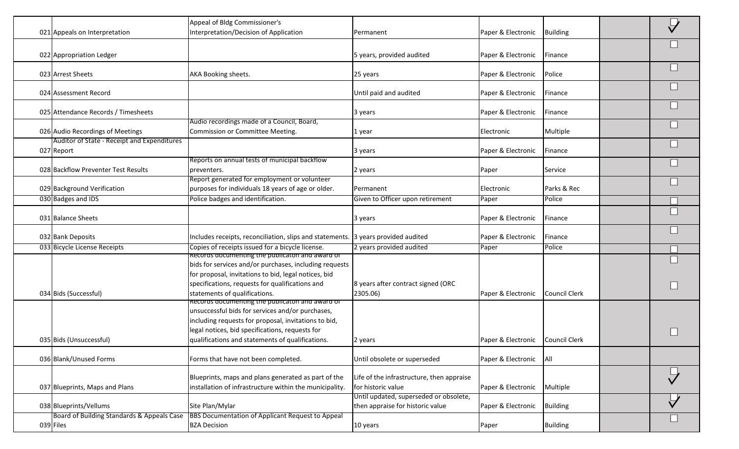| 021 Appeals on Interpretation                             | Appeal of Bldg Commissioner's<br>Interpretation/Decision of Application                                                                                                                                                                                            | Permanent                                                                  | Paper & Electronic                 | <b>Building</b> |  |
|-----------------------------------------------------------|--------------------------------------------------------------------------------------------------------------------------------------------------------------------------------------------------------------------------------------------------------------------|----------------------------------------------------------------------------|------------------------------------|-----------------|--|
| 022 Appropriation Ledger                                  |                                                                                                                                                                                                                                                                    | 5 years, provided audited                                                  | Paper & Electronic                 | Finance         |  |
| 023 Arrest Sheets                                         | AKA Booking sheets.                                                                                                                                                                                                                                                | 25 years                                                                   | Paper & Electronic                 | Police          |  |
| 024 Assessment Record                                     |                                                                                                                                                                                                                                                                    | Until paid and audited                                                     | Paper & Electronic                 | Finance         |  |
| 025 Attendance Records / Timesheets                       |                                                                                                                                                                                                                                                                    | 3 years                                                                    | Paper & Electronic                 | Finance         |  |
| 026 Audio Recordings of Meetings                          | Audio recordings made of a Council, Board,<br>Commission or Committee Meeting.                                                                                                                                                                                     | 1 year                                                                     | Electronic                         | Multiple        |  |
| Auditor of State - Receipt and Expenditures<br>027 Report |                                                                                                                                                                                                                                                                    | 3 years                                                                    | Paper & Electronic                 | Finance         |  |
| 028 Backflow Preventer Test Results                       | Reports on annual tests of municipal backflow<br>preventers.                                                                                                                                                                                                       | 2 years                                                                    | Paper                              | Service         |  |
| 029 Background Verification                               | Report generated for employment or volunteer<br>purposes for individuals 18 years of age or older.                                                                                                                                                                 | Permanent                                                                  | Electronic                         | Parks & Rec     |  |
| 030 Badges and IDS                                        | Police badges and identification.                                                                                                                                                                                                                                  | Given to Officer upon retirement                                           | Paper                              | Police          |  |
| 031 Balance Sheets                                        |                                                                                                                                                                                                                                                                    | 3 years                                                                    | Paper & Electronic                 | Finance         |  |
| 032 Bank Deposits                                         | Includes receipts, reconciliation, slips and statements. 3 years provided audited                                                                                                                                                                                  |                                                                            | Paper & Electronic                 | Finance         |  |
| 033 Bicycle License Receipts                              | Copies of receipts issued for a bicycle license.                                                                                                                                                                                                                   | 2 years provided audited                                                   | Paper                              | Police          |  |
| 034 Bids (Successful)                                     | Records documenting the publicaton and award of<br>bids for services and/or purchases, including requests<br>for proposal, invitations to bid, legal notices, bid<br>specifications, requests for qualifications and<br>statements of qualifications.              | 8 years after contract signed (ORC<br>2305.06)                             | Paper & Electronic                 | Council Clerk   |  |
| 035 Bids (Unsuccessful)                                   | Records documenting the publicaton and award of<br>unsuccessful bids for services and/or purchases,<br>including requests for proposal, invitations to bid,<br>legal notices, bid specifications, requests for<br>qualifications and statements of qualifications. | 2 years                                                                    | Paper & Electronic   Council Clerk |                 |  |
| 036 Blank/Unused Forms                                    | Forms that have not been completed.                                                                                                                                                                                                                                | Until obsolete or superseded                                               | Paper & Electronic                 | All             |  |
| 037 Blueprints, Maps and Plans                            | Blueprints, maps and plans generated as part of the<br>installation of infrastructure within the municipality.                                                                                                                                                     | Life of the infrastructure, then appraise<br>for historic value            | Paper & Electronic                 | Multiple        |  |
| 038 Blueprints/Vellums                                    | Site Plan/Mylar                                                                                                                                                                                                                                                    | Until updated, superseded or obsolete,<br>then appraise for historic value | Paper & Electronic                 | <b>Building</b> |  |
| Board of Building Standards & Appeals Case<br>039 Files   | BBS Documentation of Applicant Request to Appeal<br><b>BZA Decision</b>                                                                                                                                                                                            | 10 years                                                                   | Paper                              | <b>Building</b> |  |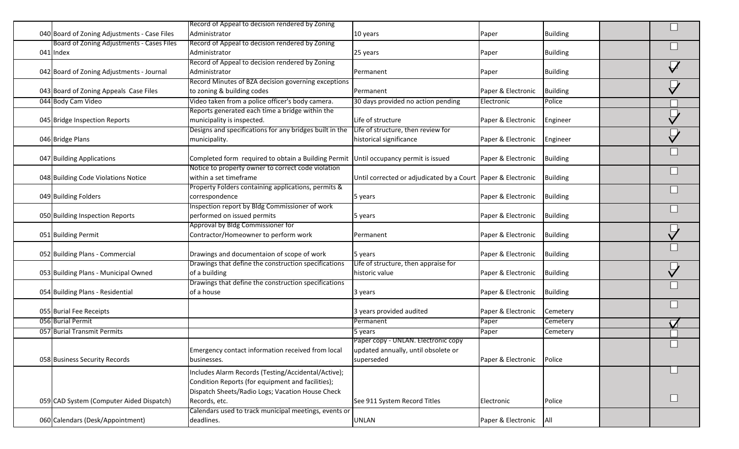| 040 Board of Zoning Adjustments - Case Files | Record of Appeal to decision rendered by Zoning<br>Administrator                     | 10 years                                                     |                    | <b>Building</b> |  |
|----------------------------------------------|--------------------------------------------------------------------------------------|--------------------------------------------------------------|--------------------|-----------------|--|
| Board of Zoning Adjustments - Cases Files    | Record of Appeal to decision rendered by Zoning                                      |                                                              | Paper              |                 |  |
| 041 Index                                    | Administrator                                                                        | 25 years                                                     | Paper              | <b>Building</b> |  |
|                                              | Record of Appeal to decision rendered by Zoning                                      |                                                              |                    |                 |  |
| 042 Board of Zoning Adjustments - Journal    | Administrator                                                                        | Permanent                                                    | Paper              | <b>Building</b> |  |
|                                              | Record Minutes of BZA decision governing exceptions                                  |                                                              |                    |                 |  |
| 043 Board of Zoning Appeals Case Files       | to zoning & building codes                                                           | Permanent                                                    | Paper & Electronic | <b>Building</b> |  |
| 044 Body Cam Video                           | Video taken from a police officer's body camera.                                     | 30 days provided no action pending                           | Electronic         | Police          |  |
|                                              | Reports generated each time a bridge within the                                      |                                                              |                    |                 |  |
| 045 Bridge Inspection Reports                | municipality is inspected.                                                           | Life of structure                                            | Paper & Electronic | Engineer        |  |
|                                              | Designs and specifications for any bridges built in the                              | Life of structure, then review for                           |                    |                 |  |
| 046 Bridge Plans                             | municipality.                                                                        | historical significance                                      | Paper & Electronic | Engineer        |  |
| 047 Building Applications                    | Completed form required to obtain a Building Permit Until occupancy permit is issued |                                                              | Paper & Electronic | <b>Building</b> |  |
|                                              | Notice to property owner to correct code violation                                   |                                                              |                    |                 |  |
| 048 Building Code Violations Notice          | within a set timeframe                                                               | Until corrected or adjudicated by a Court Paper & Electronic |                    | <b>Building</b> |  |
|                                              | Property Folders containing applications, permits &                                  |                                                              |                    |                 |  |
| 049 Building Folders                         | correspondence                                                                       | 5 years                                                      | Paper & Electronic | <b>Building</b> |  |
|                                              | Inspection report by Bldg Commissioner of work                                       |                                                              |                    |                 |  |
| 050 Building Inspection Reports              | performed on issued permits                                                          | 5 years                                                      | Paper & Electronic | <b>Building</b> |  |
|                                              | Approval by Bldg Commissioner for                                                    |                                                              |                    |                 |  |
| 051 Building Permit                          | Contractor/Homeowner to perform work                                                 | Permanent                                                    | Paper & Electronic | <b>Building</b> |  |
| 052 Building Plans - Commercial              | Drawings and documentaion of scope of work                                           | 5 years                                                      | Paper & Electronic | <b>Building</b> |  |
|                                              | Drawings that define the construction specifications                                 | Life of structure, then appraise for                         |                    |                 |  |
| 053 Building Plans - Municipal Owned         | of a building                                                                        | historic value                                               | Paper & Electronic | <b>Building</b> |  |
|                                              | Drawings that define the construction specifications                                 |                                                              |                    |                 |  |
| 054 Building Plans - Residential             | of a house                                                                           | 3 years                                                      | Paper & Electronic | <b>Building</b> |  |
| 055 Burial Fee Receipts                      |                                                                                      | 3 years provided audited                                     | Paper & Electronic | Cemetery        |  |
| 056 Burial Permit                            |                                                                                      | Permanent                                                    | Paper              | Cemetery        |  |
|                                              |                                                                                      |                                                              |                    |                 |  |
| 057 Burial Transmit Permits                  |                                                                                      | 5 years                                                      | Paper              | Cemetery        |  |
|                                              |                                                                                      | Paper copy - UNLAN. Electronic copy                          |                    |                 |  |
|                                              | Emergency contact information received from local                                    | updated annually, until obsolete or                          |                    |                 |  |
| 058 Business Security Records                | businesses.                                                                          | superseded                                                   | Paper & Electronic | Police          |  |
|                                              | Includes Alarm Records (Testing/Accidental/Active);                                  |                                                              |                    |                 |  |
|                                              | Condition Reports (for equipment and facilities);                                    |                                                              |                    |                 |  |
|                                              | Dispatch Sheets/Radio Logs; Vacation House Check                                     |                                                              |                    |                 |  |
| 059 CAD System (Computer Aided Dispatch)     | Records, etc.                                                                        | See 911 System Record Titles                                 | Electronic         | Police          |  |
|                                              | Calendars used to track municipal meetings, events or                                |                                                              |                    |                 |  |
| 060 Calendars (Desk/Appointment)             | deadlines.                                                                           | <b>UNLAN</b>                                                 | Paper & Electronic | All             |  |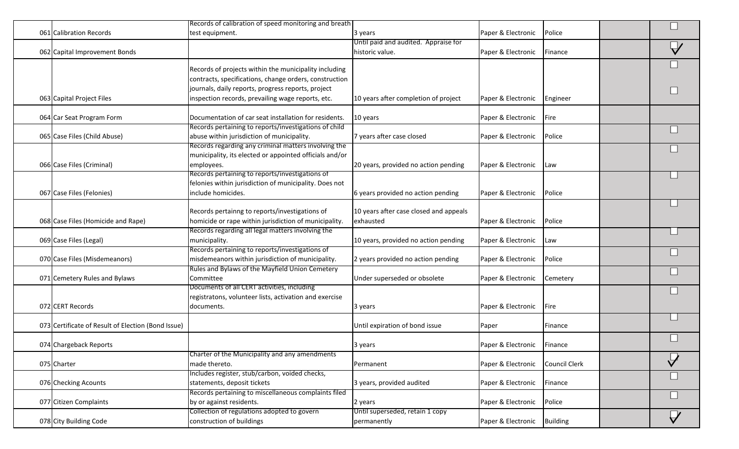|                                                    | Records of calibration of speed monitoring and breath   |                                        |                    |                 |                                       |
|----------------------------------------------------|---------------------------------------------------------|----------------------------------------|--------------------|-----------------|---------------------------------------|
| 061 Calibration Records                            | test equipment.                                         | 3 years                                | Paper & Electronic | Police          |                                       |
|                                                    |                                                         | Until paid and audited. Appraise for   |                    |                 |                                       |
| 062 Capital Improvement Bonds                      |                                                         | historic value.                        | Paper & Electronic | Finance         |                                       |
|                                                    |                                                         |                                        |                    |                 |                                       |
|                                                    | Records of projects within the municipality including   |                                        |                    |                 |                                       |
|                                                    | contracts, specifications, change orders, construction  |                                        |                    |                 |                                       |
|                                                    | journals, daily reports, progress reports, project      |                                        |                    |                 |                                       |
| 063 Capital Project Files                          | inspection records, prevailing wage reports, etc.       | 10 years after completion of project   | Paper & Electronic | Engineer        |                                       |
| 064 Car Seat Program Form                          | Documentation of car seat installation for residents.   | 10 years                               | Paper & Electronic | Fire            |                                       |
|                                                    | Records pertaining to reports/investigations of child   |                                        |                    |                 |                                       |
|                                                    |                                                         |                                        |                    |                 |                                       |
| 065 Case Files (Child Abuse)                       | abuse within jurisdiction of municipality.              | 7 years after case closed              | Paper & Electronic | Police          |                                       |
|                                                    | Records regarding any criminal matters involving the    |                                        |                    |                 |                                       |
|                                                    | municipality, its elected or appointed officials and/or |                                        |                    |                 |                                       |
| 066 Case Files (Criminal)                          | employees.                                              | 20 years, provided no action pending   | Paper & Electronic | Law             |                                       |
|                                                    | Records pertaining to reports/investigations of         |                                        |                    |                 |                                       |
|                                                    | felonies within jurisdiction of municipality. Does not  |                                        |                    |                 |                                       |
| 067 Case Files (Felonies)                          | include homicides.                                      | 6 years provided no action pending     | Paper & Electronic | Police          |                                       |
|                                                    |                                                         |                                        |                    |                 |                                       |
|                                                    | Records pertainng to reports/investigations of          | 10 years after case closed and appeals |                    |                 |                                       |
| 068 Case Files (Homicide and Rape)                 | homicide or rape within jurisdiction of municipality.   | exhausted                              | Paper & Electronic | Police          |                                       |
|                                                    | Records regarding all legal matters involving the       |                                        |                    |                 |                                       |
| 069 Case Files (Legal)                             | municipality.                                           | 10 years, provided no action pending   | Paper & Electronic | Law             |                                       |
|                                                    | Records pertaining to reports/investigations of         |                                        |                    |                 |                                       |
| 070 Case Files (Misdemeanors)                      | misdemeanors within jurisdiction of municipality.       | 2 years provided no action pending     | Paper & Electronic | Police          |                                       |
|                                                    | Rules and Bylaws of the Mayfield Union Cemetery         |                                        |                    |                 |                                       |
| 071 Cemetery Rules and Bylaws                      | Committee                                               | Under superseded or obsolete           | Paper & Electronic | Cemetery        |                                       |
|                                                    | Documents of all CERT activities, including             |                                        |                    |                 |                                       |
|                                                    | registratons, volunteer lists, activation and exercise  |                                        |                    |                 |                                       |
| 072 CERT Records                                   | documents.                                              | 3 years                                | Paper & Electronic | Fire            |                                       |
|                                                    |                                                         |                                        |                    |                 |                                       |
| 073 Certificate of Result of Election (Bond Issue) |                                                         | Until expiration of bond issue         | Paper              | Finance         |                                       |
|                                                    |                                                         |                                        |                    |                 |                                       |
| 074 Chargeback Reports                             |                                                         | 3 years                                | Paper & Electronic | Finance         |                                       |
|                                                    | Charter of the Municipality and any amendments          |                                        |                    |                 |                                       |
| 075 Charter                                        | made thereto.                                           | Permanent                              | Paper & Electronic | Council Clerk   | $\overline{\phantom{a}}$<br>$\forall$ |
|                                                    | Includes register, stub/carbon, voided checks,          |                                        |                    |                 |                                       |
|                                                    |                                                         |                                        |                    |                 |                                       |
| 076 Checking Acounts                               | statements, deposit tickets                             | 3 years, provided audited              | Paper & Electronic | Finance         |                                       |
|                                                    | Records pertaining to miscellaneous complaints filed    |                                        |                    |                 |                                       |
| 077 Citizen Complaints                             | by or against residents.                                | 2 years                                | Paper & Electronic | Police          |                                       |
|                                                    | Collection of regulations adopted to govern             | Until superseded, retain 1 copy        |                    |                 | $\bar{\bigtriangledown}$              |
| 078 City Building Code                             | construction of buildings                               | permanently                            | Paper & Electronic | <b>Building</b> |                                       |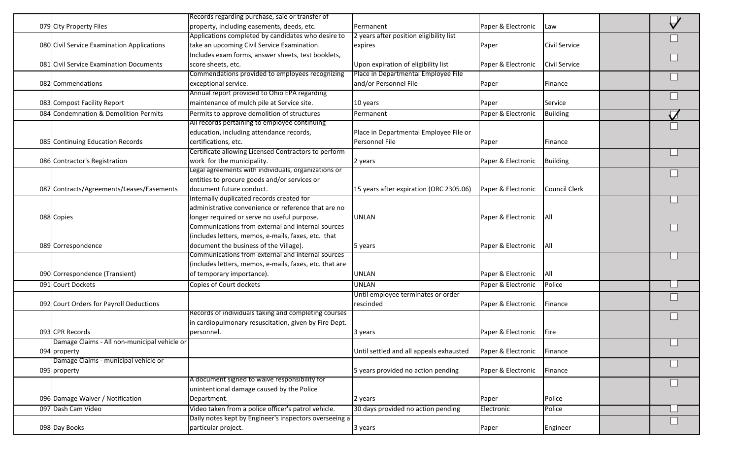|                                              | Records regarding purchase, sale or transfer of                                                   |                                                    |                    |                      |  |
|----------------------------------------------|---------------------------------------------------------------------------------------------------|----------------------------------------------------|--------------------|----------------------|--|
| 079 City Property Files                      | property, including easements, deeds, etc.                                                        | Permanent                                          | Paper & Electronic | Law                  |  |
| 080 Civil Service Examination Applications   | Applications completed by candidates who desire to<br>take an upcoming Civil Service Examination. | 2 years after position eligibility list<br>expires | Paper              | Civil Service        |  |
|                                              | Includes exam forms, answer sheets, test booklets,                                                |                                                    |                    |                      |  |
|                                              |                                                                                                   |                                                    |                    |                      |  |
| 081 Civil Service Examination Documents      | score sheets, etc.                                                                                | Upon expiration of eligibility list                | Paper & Electronic | <b>Civil Service</b> |  |
|                                              | Commendations provided to employees recognizing                                                   | Place in Departmental Employee File                |                    |                      |  |
| 082 Commendations                            | exceptional service.                                                                              | and/or Personnel File                              | Paper              | Finance              |  |
|                                              | Annual report provided to Ohio EPA regarding                                                      |                                                    |                    |                      |  |
| 083 Compost Facility Report                  | maintenance of mulch pile at Service site.                                                        | 10 years                                           | Paper              | Service              |  |
| 084 Condemnation & Demolition Permits        | Permits to approve demolition of structures                                                       | Permanent                                          | Paper & Electronic | <b>Building</b>      |  |
|                                              | All records pertaining to employee continuing                                                     |                                                    |                    |                      |  |
|                                              | education, including attendance records,                                                          | Place in Departmental Employee File or             |                    |                      |  |
| 085 Continuing Education Records             | certifications, etc.                                                                              | Personnel File                                     | Paper              | Finance              |  |
|                                              | Certificate allowing Licensed Contractors to perform                                              |                                                    |                    |                      |  |
| 086 Contractor's Registration                | work for the municipality.                                                                        | 2 years                                            | Paper & Electronic | <b>Building</b>      |  |
|                                              | Legal agreements with individuals, organizations or                                               |                                                    |                    |                      |  |
|                                              | entities to procure goods and/or services or                                                      |                                                    |                    |                      |  |
| 087 Contracts/Agreements/Leases/Easements    | document future conduct.                                                                          | 15 years after expiration (ORC 2305.06)            | Paper & Electronic | <b>Council Clerk</b> |  |
|                                              | Internally duplicated records created for                                                         |                                                    |                    |                      |  |
|                                              | administrative convenience or reference that are no                                               |                                                    |                    |                      |  |
| 088 Copies                                   | longer required or serve no useful purpose.                                                       | <b>UNLAN</b>                                       | Paper & Electronic | All                  |  |
|                                              | Communications from external and internal sources                                                 |                                                    |                    |                      |  |
|                                              | (includes letters, memos, e-mails, faxes, etc. that                                               |                                                    |                    |                      |  |
| 089 Correspondence                           | document the business of the Village).                                                            | 5 years                                            | Paper & Electronic | All                  |  |
|                                              | Communications from external and internal sources                                                 |                                                    |                    |                      |  |
|                                              | (includes letters, memos, e-mails, faxes, etc. that are                                           |                                                    |                    |                      |  |
| 090 Correspondence (Transient)               | of temporary importance).                                                                         | <b>UNLAN</b>                                       | Paper & Electronic | All                  |  |
| 091 Court Dockets                            | Copies of Court dockets                                                                           | <b>UNLAN</b>                                       | Paper & Electronic | Police               |  |
|                                              |                                                                                                   | Until employee terminates or order                 |                    |                      |  |
| 092 Court Orders for Payroll Deductions      |                                                                                                   | rescinded                                          | Paper & Electronic | Finance              |  |
|                                              | Records of individuals taking and completing courses                                              |                                                    |                    |                      |  |
|                                              | in cardiopulmonary resuscitation, given by Fire Dept.                                             |                                                    |                    |                      |  |
| 093 CPR Records                              | personnel.                                                                                        | 3 years                                            | Paper & Electronic | Fire                 |  |
| Damage Claims - All non-municipal vehicle or |                                                                                                   |                                                    |                    |                      |  |
| 094 property                                 |                                                                                                   | Until settled and all appeals exhausted            | Paper & Electronic | Finance              |  |
| Damage Claims - municipal vehicle or         |                                                                                                   |                                                    |                    |                      |  |
| 095 property                                 |                                                                                                   | 5 years provided no action pending                 | Paper & Electronic | Finance              |  |
|                                              | A document signed to waive responsibility for                                                     |                                                    |                    |                      |  |
|                                              | unintentional damage caused by the Police                                                         |                                                    |                    |                      |  |
| 096 Damage Waiver / Notification             | Department.                                                                                       | 2 years                                            | Paper              | Police               |  |
| 097 Dash Cam Video                           | Video taken from a police officer's patrol vehicle.                                               | 30 days provided no action pending                 | Electronic         | Police               |  |
|                                              | Daily notes kept by Engineer's inspectors overseeing a                                            |                                                    |                    |                      |  |
| 098 Day Books                                | particular project.                                                                               | 3 years                                            | Paper              | Engineer             |  |
|                                              |                                                                                                   |                                                    |                    |                      |  |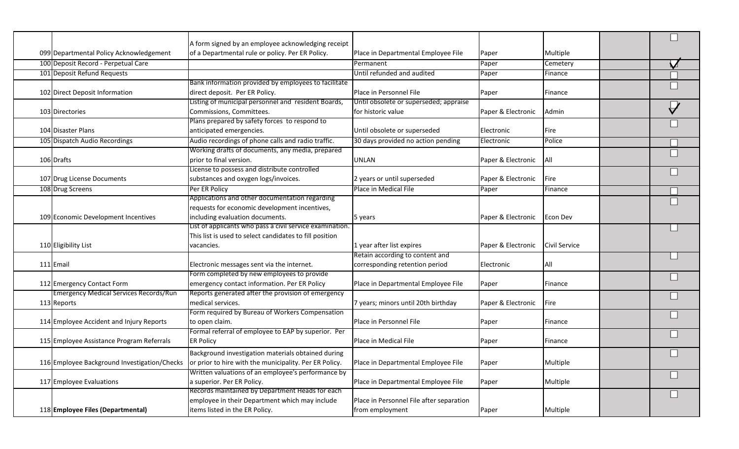|                                               | A form signed by an employee acknowledging receipt       |                                          |                    |               |  |
|-----------------------------------------------|----------------------------------------------------------|------------------------------------------|--------------------|---------------|--|
| 099 Departmental Policy Acknowledgement       | of a Departmental rule or policy. Per ER Policy.         | Place in Departmental Employee File      | Paper              | Multiple      |  |
| 100 Deposit Record - Perpetual Care           |                                                          | Permanent                                | Paper              | Cemetery      |  |
| 101 Deposit Refund Requests                   |                                                          | Until refunded and audited               | Paper              | Finance       |  |
|                                               | Bank information provided by employees to facilitate     |                                          |                    |               |  |
| 102 Direct Deposit Information                | direct deposit. Per ER Policy.                           | Place in Personnel File                  | Paper              | Finance       |  |
|                                               | Listing of municipal personnel and resident Boards,      | Until obsolete or superseded; appraise   |                    |               |  |
| 103 Directories                               | Commissions, Committees.                                 | for historic value                       | Paper & Electronic | Admin         |  |
|                                               | Plans prepared by safety forces to respond to            |                                          |                    |               |  |
| 104 Disaster Plans                            | anticipated emergencies.                                 | Until obsolete or superseded             | Electronic         | Fire          |  |
| 105 Dispatch Audio Recordings                 | Audio recordings of phone calls and radio traffic.       | 30 days provided no action pending       | Electronic         | Police        |  |
|                                               | Working drafts of documents, any media, prepared         |                                          |                    |               |  |
| 106 Drafts                                    | prior to final version.                                  | <b>UNLAN</b>                             | Paper & Electronic | All           |  |
|                                               | License to possess and distribute controlled             |                                          |                    |               |  |
| 107 Drug License Documents                    | substances and oxygen logs/invoices.                     | 2 years or until superseded              | Paper & Electronic | Fire          |  |
| 108 Drug Screens                              | Per ER Policy                                            | Place in Medical File                    | Paper              | Finance       |  |
|                                               | Applications and other documentation regarding           |                                          |                    |               |  |
|                                               | requests for economic development incentives,            |                                          |                    |               |  |
| 109 Economic Development Incentives           | including evaluation documents.                          | 5 years                                  | Paper & Electronic | Econ Dev      |  |
|                                               | List of applicants who pass a civil service examination. |                                          |                    |               |  |
|                                               | This list is used to select candidates to fill position  |                                          |                    |               |  |
| 110 Eligibility List                          | vacancies.                                               | 1 year after list expires                | Paper & Electronic | Civil Service |  |
|                                               |                                                          | Retain according to content and          |                    |               |  |
| 111 Email                                     | Electronic messages sent via the internet.               | corresponding retention period           | Electronic         | All           |  |
|                                               | Form completed by new employees to provide               |                                          |                    |               |  |
| 112 Emergency Contact Form                    | emergency contact information. Per ER Policy             | Place in Departmental Employee File      | Paper              | Finance       |  |
| <b>Emergency Medical Services Records/Run</b> | Reports generated after the provision of emergency       |                                          |                    |               |  |
| 113 Reports                                   | Imedical services.                                       | 7 years; minors until 20th birthday      | Paper & Electronic | Fire          |  |
|                                               | Form required by Bureau of Workers Compensation          |                                          |                    |               |  |
| 114 Employee Accident and Injury Reports      | to open claim.                                           | Place in Personnel File                  | Paper              | Finance       |  |
|                                               | Formal referral of employee to EAP by superior. Per      |                                          |                    |               |  |
| 115 Employee Assistance Program Referrals     | <b>ER Policy</b>                                         | Place in Medical File                    | Paper              | Finance       |  |
|                                               | Background investigation materials obtained during       |                                          |                    |               |  |
| 116 Employee Background Investigation/Checks  | or prior to hire with the municipality. Per ER Policy.   | Place in Departmental Employee File      | Paper              | Multiple      |  |
|                                               | Written valuations of an employee's performance by       |                                          |                    |               |  |
| 117 Employee Evaluations                      | a superior. Per ER Policy.                               | Place in Departmental Employee File      | Paper              | Multiple      |  |
|                                               | Records maintained by Department Heads for each          |                                          |                    |               |  |
|                                               | employee in their Department which may include           | Place in Personnel File after separation |                    |               |  |
| 118 Employee Files (Departmental)             | items listed in the ER Policy.                           | from employment                          | Paper              | Multiple      |  |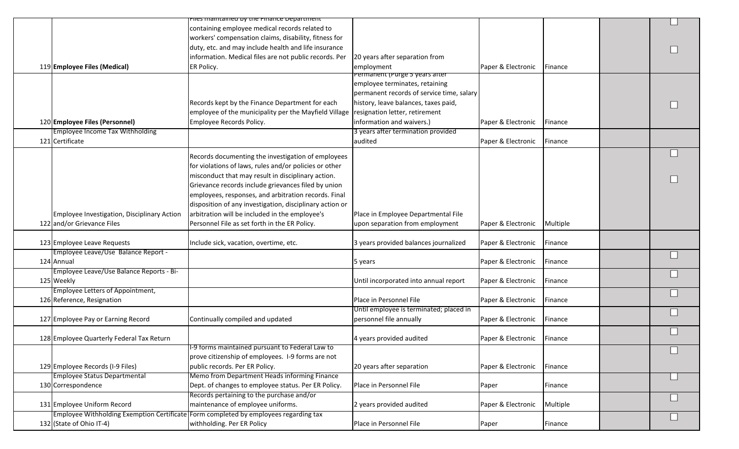|                                             | Files maintained by the Finance Department                                           |                                           |                    |          |  |
|---------------------------------------------|--------------------------------------------------------------------------------------|-------------------------------------------|--------------------|----------|--|
|                                             |                                                                                      |                                           |                    |          |  |
|                                             | containing employee medical records related to                                       |                                           |                    |          |  |
|                                             | workers' compensation claims, disability, fitness for                                |                                           |                    |          |  |
|                                             | duty, etc. and may include health and life insurance                                 |                                           |                    |          |  |
|                                             | information. Medical files are not public records. Per                               | 20 years after separation from            |                    |          |  |
| 119 Employee Files (Medical)                | ER Policy.                                                                           | employment                                | Paper & Electronic | Finance  |  |
|                                             |                                                                                      | <del>Permanent (Purge 5 years arter</del> |                    |          |  |
|                                             |                                                                                      | employee terminates, retaining            |                    |          |  |
|                                             |                                                                                      | permanent records of service time, salary |                    |          |  |
|                                             | Records kept by the Finance Department for each                                      | history, leave balances, taxes paid,      |                    |          |  |
|                                             | employee of the municipality per the Mayfield Village resignation letter, retirement |                                           |                    |          |  |
| 120 Employee Files (Personnel)              | Employee Records Policy.                                                             | information and waivers.)                 | Paper & Electronic | Finance  |  |
| <b>Employee Income Tax Withholding</b>      |                                                                                      | 3 years after termination provided        |                    |          |  |
| 121 Certificate                             |                                                                                      | audited                                   | Paper & Electronic | Finance  |  |
|                                             |                                                                                      |                                           |                    |          |  |
|                                             | Records documenting the investigation of employees                                   |                                           |                    |          |  |
|                                             | for violations of laws, rules and/or policies or other                               |                                           |                    |          |  |
|                                             | misconduct that may result in disciplinary action.                                   |                                           |                    |          |  |
|                                             | Grievance records include grievances filed by union                                  |                                           |                    |          |  |
|                                             | employees, responses, and arbitration records. Final                                 |                                           |                    |          |  |
|                                             |                                                                                      |                                           |                    |          |  |
|                                             | disposition of any investigation, disciplinary action or                             |                                           |                    |          |  |
| Employee Investigation, Disciplinary Action | arbitration will be included in the employee's                                       | Place in Employee Departmental File       |                    |          |  |
| 122 and/or Grievance Files                  | Personnel File as set forth in the ER Policy.                                        | upon separation from employment           | Paper & Electronic | Multiple |  |
|                                             |                                                                                      |                                           |                    |          |  |
| 123 Employee Leave Requests                 | Include sick, vacation, overtime, etc.                                               | 3 years provided balances journalized     | Paper & Electronic | Finance  |  |
| Employee Leave/Use Balance Report -         |                                                                                      |                                           |                    |          |  |
| 124 Annual                                  |                                                                                      | 5 years                                   | Paper & Electronic | Finance  |  |
| Employee Leave/Use Balance Reports - Bi-    |                                                                                      |                                           |                    |          |  |
| 125 Weekly                                  |                                                                                      | Until incorporated into annual report     | Paper & Electronic | Finance  |  |
| <b>Employee Letters of Appointment,</b>     |                                                                                      |                                           |                    |          |  |
| 126 Reference, Resignation                  |                                                                                      | Place in Personnel File                   | Paper & Electronic | Finance  |  |
|                                             |                                                                                      | Until employee is terminated; placed in   |                    |          |  |
|                                             |                                                                                      |                                           |                    |          |  |
| 127 Employee Pay or Earning Record          | Continually compiled and updated                                                     | personnel file annually                   | Paper & Electronic | Finance  |  |
|                                             |                                                                                      |                                           |                    |          |  |
| 128 Employee Quarterly Federal Tax Return   |                                                                                      | 4 years provided audited                  | Paper & Electronic | Finance  |  |
|                                             | 1-9 forms maintained pursuant to Federal Law to                                      |                                           |                    |          |  |
|                                             | prove citizenship of employees. I-9 forms are not                                    |                                           |                    |          |  |
| 129 Employee Records (I-9 Files)            | public records. Per ER Policy.                                                       | 20 years after separation                 | Paper & Electronic | Finance  |  |
| <b>Employee Status Departmental</b>         | Memo from Department Heads informing Finance                                         |                                           |                    |          |  |
| 130 Correspondence                          | Dept. of changes to employee status. Per ER Policy.                                  | Place in Personnel File                   | Paper              | Finance  |  |
|                                             | Records pertaining to the purchase and/or                                            |                                           |                    |          |  |
| 131 Employee Uniform Record                 | maintenance of employee uniforms.                                                    | 2 years provided audited                  | Paper & Electronic | Multiple |  |
|                                             | Employee Withholding Exemption Certificate Form completed by employees regarding tax |                                           |                    |          |  |
| 132 (State of Ohio IT-4)                    | withholding. Per ER Policy                                                           | Place in Personnel File                   | Paper              | Finance  |  |
|                                             |                                                                                      |                                           |                    |          |  |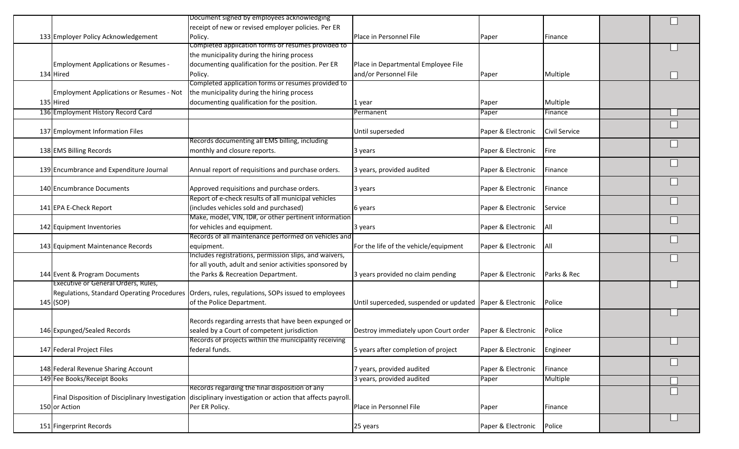|                                                 | Document signed by employees acknowledging                                                        |                                                           |                    |               |        |
|-------------------------------------------------|---------------------------------------------------------------------------------------------------|-----------------------------------------------------------|--------------------|---------------|--------|
| 133 Employer Policy Acknowledgement             | receipt of new or revised employer policies. Per ER<br>Policy.                                    | Place in Personnel File                                   | Paper              | Finance       |        |
|                                                 | Completed application forms or resumes provided to                                                |                                                           |                    |               |        |
|                                                 | the municipality during the hiring process                                                        |                                                           |                    |               |        |
| <b>Employment Applications or Resumes -</b>     | documenting qualification for the position. Per ER                                                | Place in Departmental Employee File                       |                    |               |        |
| 134 Hired                                       | Policy.                                                                                           | and/or Personnel File                                     | Paper              | Multiple      |        |
|                                                 | Completed application forms or resumes provided to                                                |                                                           |                    |               |        |
| <b>Employment Applications or Resumes - Not</b> | the municipality during the hiring process                                                        |                                                           |                    |               |        |
| 135 Hired                                       | documenting qualification for the position.                                                       | 1 year                                                    | Paper              | Multiple      |        |
| 136 Employment History Record Card              |                                                                                                   | Permanent                                                 | Paper              | Finance       |        |
|                                                 |                                                                                                   |                                                           |                    |               |        |
| 137 Employment Information Files                |                                                                                                   | Until superseded                                          | Paper & Electronic | Civil Service |        |
|                                                 | Records documenting all EMS billing, including                                                    |                                                           |                    |               | П      |
| 138 EMS Billing Records                         | monthly and closure reports.                                                                      | 3 years                                                   | Paper & Electronic | <b>Fire</b>   |        |
|                                                 |                                                                                                   |                                                           |                    |               |        |
| 139 Encumbrance and Expenditure Journal         | Annual report of requisitions and purchase orders.                                                | 3 years, provided audited                                 | Paper & Electronic | Finance       |        |
|                                                 |                                                                                                   |                                                           |                    |               |        |
| 140 Encumbrance Documents                       | Approved requisitions and purchase orders.                                                        | 3 years                                                   | Paper & Electronic | Finance       |        |
|                                                 | Report of e-check results of all municipal vehicles                                               |                                                           |                    |               |        |
| 141 EPA E-Check Report                          | (includes vehicles sold and purchased)<br>Make, model, VIN, ID#, or other pertinent information   | 6 years                                                   | Paper & Electronic | Service       |        |
| 142 Equipment Inventories                       | for vehicles and equipment.                                                                       |                                                           | Paper & Electronic | IAII          |        |
|                                                 | Records of all maintenance performed on vehicles and                                              | 3 years                                                   |                    |               |        |
| 143 Equipment Maintenance Records               | equipment.                                                                                        | For the life of the vehicle/equipment                     | Paper & Electronic | All           |        |
|                                                 | Includes registrations, permission slips, and waivers,                                            |                                                           |                    |               |        |
|                                                 | for all youth, adult and senior activities sponsored by                                           |                                                           |                    |               |        |
| 144 Event & Program Documents                   | the Parks & Recreation Department.                                                                | 3 years provided no claim pending                         | Paper & Electronic | Parks & Rec   |        |
| Executive or General Orders, Rules,             |                                                                                                   |                                                           |                    |               |        |
|                                                 | Regulations, Standard Operating Procedures   Orders, rules, regulations, SOPs issued to employees |                                                           |                    |               |        |
| 145 (SOP)                                       | of the Police Department.                                                                         | Until superceded, suspended or updated Paper & Electronic |                    | Police        |        |
|                                                 |                                                                                                   |                                                           |                    |               |        |
|                                                 | Records regarding arrests that have been expunged or                                              |                                                           |                    |               |        |
| 146 Expunged/Sealed Records                     | sealed by a Court of competent jurisdiction                                                       | Destroy immediately upon Court order                      | Paper & Electronic | Police        |        |
|                                                 | Records of projects within the municipality receiving                                             |                                                           |                    |               |        |
| 147 Federal Project Files                       | federal funds.                                                                                    | 5 years after completion of project                       | Paper & Electronic | Engineer      |        |
|                                                 |                                                                                                   |                                                           |                    |               | $\Box$ |
| 148 Federal Revenue Sharing Account             |                                                                                                   | 7 years, provided audited                                 | Paper & Electronic | Finance       |        |
| 149 Fee Books/Receipt Books                     | Records regarding the final disposition of any                                                    | 3 years, provided audited                                 | Paper              | Multiple      |        |
| Final Disposition of Disciplinary Investigation | disciplinary investigation or action that affects payroll.                                        |                                                           |                    |               |        |
| 150 or Action                                   | Per ER Policy.                                                                                    | Place in Personnel File                                   | Paper              | Finance       |        |
|                                                 |                                                                                                   |                                                           |                    |               |        |
| 151 Fingerprint Records                         |                                                                                                   | 25 years                                                  | Paper & Electronic | Police        |        |
|                                                 |                                                                                                   |                                                           |                    |               |        |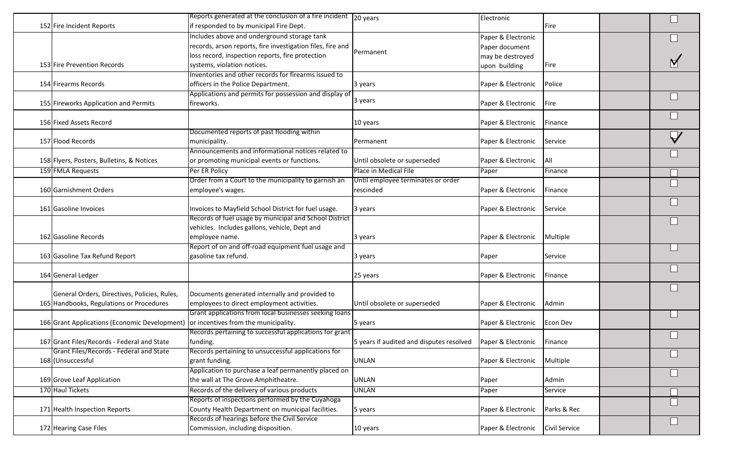|                                                                                    | Reports generated at the conclusion of a fire incident 20 years |                                          | Electronic         |                      |  |
|------------------------------------------------------------------------------------|-----------------------------------------------------------------|------------------------------------------|--------------------|----------------------|--|
| 152 Fire Incident Reports                                                          | if responded to by municipal Fire Dept.                         |                                          |                    | Fire                 |  |
|                                                                                    | Includes above and underground storage tank                     |                                          | Paper & Electronic |                      |  |
|                                                                                    | records, arson reports, fire investigation files, fire and      |                                          | Paper document     |                      |  |
|                                                                                    | loss record, inspection reports, fire protection                | Permanent                                | may be destroyed   |                      |  |
| 153 Fire Prevention Records                                                        | systems, violation notices.                                     |                                          | upon building      | Fire                 |  |
|                                                                                    | Inventories and other records for firearms issued to            |                                          |                    |                      |  |
| 154 Firearms Records                                                               | officers in the Police Department.                              | 3 years                                  | Paper & Electronic | Police               |  |
|                                                                                    | Applications and permits for possession and display of          |                                          |                    |                      |  |
| 155 Fireworks Application and Permits                                              | fireworks.                                                      | 3 years                                  | Paper & Electronic | <b>Fire</b>          |  |
|                                                                                    |                                                                 |                                          |                    |                      |  |
| 156 Fixed Assets Record                                                            |                                                                 | 10 years                                 | Paper & Electronic | Finance              |  |
|                                                                                    | Documented reports of past flooding within                      |                                          |                    |                      |  |
| 157 Flood Records                                                                  | municipality.                                                   | Permanent                                | Paper & Electronic | Service              |  |
|                                                                                    | Announcements and informational notices related to              |                                          |                    |                      |  |
| 158 Flyers, Posters, Bulletins, & Notices                                          | or promoting municipal events or functions.                     | Until obsolete or superseded             | Paper & Electronic | All                  |  |
|                                                                                    |                                                                 | Place in Medical File                    |                    |                      |  |
| 159 FMLA Requests                                                                  | Per ER Policy                                                   |                                          | Paper              | Finance              |  |
|                                                                                    | Order from a Court to the municipality to garnish an            | Until employee terminates or order       |                    |                      |  |
| 160 Garnishment Orders                                                             | employee's wages.                                               | rescinded                                | Paper & Electronic | Finance              |  |
|                                                                                    |                                                                 |                                          |                    |                      |  |
| 161 Gasoline Invoices                                                              | Invoices to Mayfield School District for fuel usage.            | 3 years                                  | Paper & Electronic | Service              |  |
|                                                                                    | Records of fuel usage by municipal and School District          |                                          |                    |                      |  |
|                                                                                    | vehicles. Includes gallons, vehicle, Dept and                   |                                          |                    |                      |  |
| 162 Gasoline Records                                                               | employee name.                                                  | 3 years                                  | Paper & Electronic | Multiple             |  |
|                                                                                    | Report of on and off-road equipment fuel usage and              |                                          |                    |                      |  |
| 163 Gasoline Tax Refund Report                                                     | gasoline tax refund.                                            | 3 years                                  | Paper              | Service              |  |
|                                                                                    |                                                                 |                                          |                    |                      |  |
| 164 General Ledger                                                                 |                                                                 | 25 years                                 | Paper & Electronic | Finance              |  |
|                                                                                    |                                                                 |                                          |                    |                      |  |
| General Orders, Directives, Policies, Rules,                                       | Documents generated internally and provided to                  |                                          |                    |                      |  |
| 165 Handbooks, Regulations or Procedures                                           | employees to direct employment activities.                      | Until obsolete or superseded             | Paper & Electronic | Admin                |  |
|                                                                                    | Grant applications from local businesses seeking loans          |                                          |                    |                      |  |
| 166 Grant Applications (Economic Development) or incentives from the municipality. |                                                                 | 5 years                                  | Paper & Electronic | Econ Dev             |  |
|                                                                                    | Records pertaining to successful applications for grant         |                                          |                    |                      |  |
| 167 Grant Files/Records - Federal and State                                        | funding.                                                        | 5 years if audited and disputes resolved | Paper & Electronic | Finance              |  |
| Grant Files/Records - Federal and State                                            | Records pertaining to unsuccessful applications for             |                                          |                    |                      |  |
| 168 (Unsuccessful                                                                  | grant funding.                                                  | <b>UNLAN</b>                             | Paper & Electronic | Multiple             |  |
|                                                                                    | Application to purchase a leaf permanently placed on            |                                          |                    |                      |  |
| 169 Grove Leaf Application                                                         | the wall at The Grove Amphitheatre.                             | <b>UNLAN</b>                             | Paper              | Admin                |  |
| 170 Haul Tickets                                                                   | Records of the delivery of various products                     | <b>UNLAN</b>                             | Paper              | Service              |  |
|                                                                                    | Reports of inspections performed by the Cuyahoga                |                                          |                    |                      |  |
| 171 Health Inspection Reports                                                      | County Health Department on municipal facilities.               | 5 years                                  | Paper & Electronic | Parks & Rec          |  |
|                                                                                    | Records of hearings before the Civil Service                    |                                          |                    |                      |  |
| 172 Hearing Case Files                                                             | Commission, including disposition.                              | 10 years                                 | Paper & Electronic | <b>Civil Service</b> |  |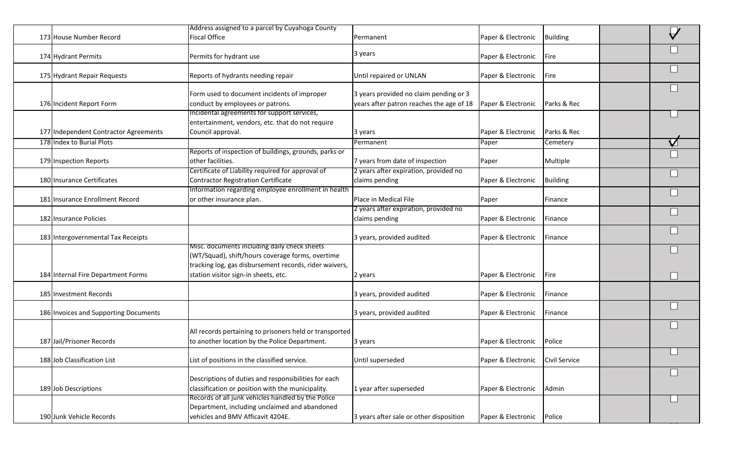|                                       | Address assigned to a parcel by Cuyahoga County                                                                                                                                                    |                                                                                    |                    |                 |   |
|---------------------------------------|----------------------------------------------------------------------------------------------------------------------------------------------------------------------------------------------------|------------------------------------------------------------------------------------|--------------------|-----------------|---|
| 173 House Number Record               | <b>Fiscal Office</b>                                                                                                                                                                               | Permanent                                                                          | Paper & Electronic | <b>Building</b> | A |
| 174 Hydrant Permits                   | Permits for hydrant use                                                                                                                                                                            | 3 years                                                                            | Paper & Electronic | Fire            |   |
| 175 Hydrant Repair Requests           | Reports of hydrants needing repair                                                                                                                                                                 | Until repaired or UNLAN                                                            | Paper & Electronic | Fire            |   |
| 176 Incident Report Form              | Form used to document incidents of improper<br>conduct by employees or patrons.                                                                                                                    | 3 years provided no claim pending or 3<br>years after patron reaches the age of 18 | Paper & Electronic | Parks & Rec     |   |
| 177 Independent Contractor Agreements | Incidental agreements for support services,<br>entertainment, vendors, etc. that do not require<br>Council approval.                                                                               | 3 years                                                                            | Paper & Electronic | Parks & Rec     |   |
| 178 Index to Burial Plots             |                                                                                                                                                                                                    | Permanent                                                                          | Paper              | Cemetery        | V |
| 179 Inspection Reports                | Reports of inspection of buildings, grounds, parks or<br>other facilities.                                                                                                                         | 7 years from date of inspection                                                    | Paper              | Multiple        |   |
| 180 Insurance Certificates            | Certificate of Liability required for approval of<br><b>Contractor Registration Certificate</b>                                                                                                    | 2 years after expiration, provided no<br>claims pending                            | Paper & Electronic | <b>Building</b> |   |
| 181 Insurance Enrollment Record       | Information regarding employee enrollment in health<br>or other insurance plan.                                                                                                                    | Place in Medical File                                                              | Paper              | Finance         |   |
| 182 Insurance Policies                |                                                                                                                                                                                                    | 2 years after expiration, provided no<br>claims pending                            | Paper & Electronic | Finance         |   |
| 183 Intergovernmental Tax Receipts    |                                                                                                                                                                                                    | 3 years, provided audited                                                          | Paper & Electronic | Finance         |   |
| 184 Internal Fire Department Forms    | Misc. documents including daily check sheets<br>(WT/Squad), shift/hours coverage forms, overtime<br>tracking log, gas disbursement records, rider waivers,<br>station visitor sign-in sheets, etc. | 2 years                                                                            | Paper & Electronic | Fire            |   |
| 185 Investment Records                |                                                                                                                                                                                                    | 3 years, provided audited                                                          | Paper & Electronic | Finance         |   |
| 186 Invoices and Supporting Documents |                                                                                                                                                                                                    | 3 years, provided audited                                                          | Paper & Electronic | Finance         |   |
| 187 Jail/Prisoner Records             | All records pertaining to prisoners held or transported<br>to another location by the Police Department.                                                                                           | 3 years                                                                            | Paper & Electronic | Police          |   |
| 188 Job Classification List           | List of positions in the classified service.                                                                                                                                                       | Until superseded                                                                   | Paper & Electronic | Civil Service   | ᆸ |
| 189 Job Descriptions                  | Descriptions of duties and responsibilities for each<br>classification or position with the municipality.                                                                                          | 1 year after superseded                                                            | Paper & Electronic | Admin           |   |
| 190 Junk Vehicle Records              | Records of all junk vehicles handled by the Police<br>Department, including unclaimed and abandoned<br>vehicles and BMV Afficavit 4204E.                                                           | 3 years after sale or other disposition                                            | Paper & Electronic | Police          |   |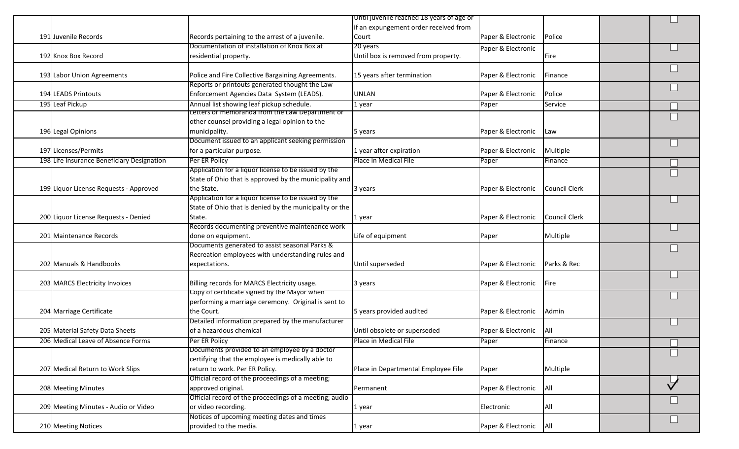|                                        | State of Ohio that is approved by the municipality and                |                                     |                    |               |   |
|----------------------------------------|-----------------------------------------------------------------------|-------------------------------------|--------------------|---------------|---|
| 199 Liquor License Requests - Approved | the State.                                                            | 3 years                             | Paper & Electronic | Council Clerk |   |
|                                        | Application for a liquor license to be issued by the                  |                                     |                    |               |   |
|                                        | State of Ohio that is denied by the municipality or the               |                                     |                    |               |   |
| 200 Liquor License Requests - Denied   | State.                                                                | 1 year                              | Paper & Electronic | Council Clerk |   |
|                                        | Records documenting preventive maintenance work                       |                                     |                    |               |   |
| 201 Maintenance Records                | done on equipment.                                                    | Life of equipment                   | Paper              | Multiple      |   |
|                                        | Documents generated to assist seasonal Parks &                        |                                     |                    |               |   |
|                                        | Recreation employees with understanding rules and                     |                                     |                    |               |   |
| 202 Manuals & Handbooks                | expectations.                                                         | Until superseded                    | Paper & Electronic | Parks & Rec   |   |
|                                        |                                                                       |                                     |                    |               |   |
| 203 MARCS Electricity Invoices         | Billing records for MARCS Electricity usage.                          | 3 years                             | Paper & Electronic | Fire          |   |
|                                        | Copy of certificate signed by the Mayor when                          |                                     |                    |               |   |
|                                        | performing a marriage ceremony. Original is sent to                   |                                     |                    |               |   |
| 204 Marriage Certificate               | the Court.                                                            | 5 years provided audited            | Paper & Electronic | Admin         |   |
|                                        | Detailed information prepared by the manufacturer                     |                                     |                    |               |   |
| 205 Material Safety Data Sheets        | of a hazardous chemical                                               | Until obsolete or superseded        | Paper & Electronic | All           |   |
| 206 Medical Leave of Absence Forms     | Per ER Policy                                                         | Place in Medical File               | Paper              | Finance       | П |
|                                        | Documents provided to an employee by a doctor                         |                                     |                    |               |   |
|                                        | certifying that the employee is medically able to                     |                                     |                    |               |   |
| 207 Medical Return to Work Slips       | return to work. Per ER Policy.                                        | Place in Departmental Employee File | Paper              | Multiple      |   |
|                                        | Official record of the proceedings of a meeting;                      |                                     |                    |               |   |
| 208 Meeting Minutes                    | approved original.                                                    | Permanent                           | Paper & Electronic | All           |   |
|                                        | Official record of the proceedings of a meeting; audio                |                                     |                    |               |   |
|                                        |                                                                       |                                     |                    |               |   |
| 209 Meeting Minutes - Audio or Video   | or video recording.                                                   | 1 year                              | Electronic         | All           |   |
| 210 Meeting Notices                    | Notices of upcoming meeting dates and times<br>provided to the media. |                                     | Paper & Electronic |               |   |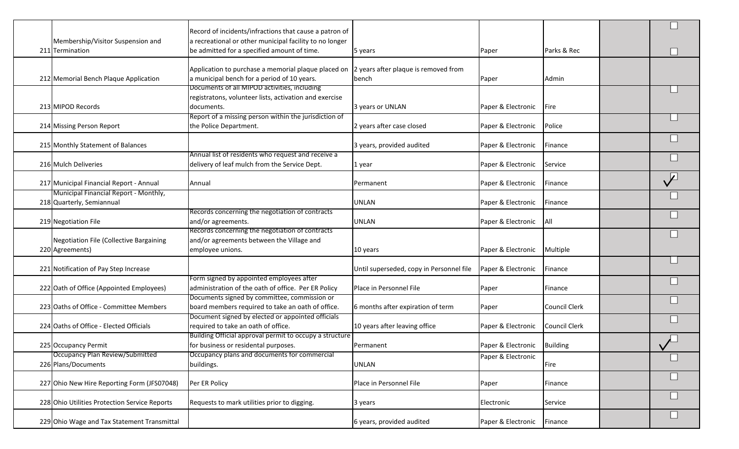|                                                | Record of incidents/infractions that cause a patron of  |                                          |                    |                      |              |
|------------------------------------------------|---------------------------------------------------------|------------------------------------------|--------------------|----------------------|--------------|
| Membership/Visitor Suspension and              | a recreational or other municipal facility to no longer |                                          |                    |                      |              |
|                                                |                                                         |                                          |                    |                      |              |
| 211 Termination                                | be admitted for a specified amount of time.             | 5 years                                  | Paper              | Parks & Rec          |              |
|                                                |                                                         |                                          |                    |                      |              |
|                                                | Application to purchase a memorial plaque placed on     | 2 years after plaque is removed from     |                    |                      |              |
| 212 Memorial Bench Plaque Application          | a municipal bench for a period of 10 years.             | bench                                    | Paper              | Admin                |              |
|                                                | Documents of all MIPOD activities, including            |                                          |                    |                      |              |
|                                                | registratons, volunteer lists, activation and exercise  |                                          |                    |                      |              |
| 213 MIPOD Records                              | documents.                                              | 3 years or UNLAN                         | Paper & Electronic | Fire                 |              |
|                                                | Report of a missing person within the jurisdiction of   |                                          |                    |                      |              |
| 214 Missing Person Report                      | the Police Department.                                  | 2 years after case closed                | Paper & Electronic | Police               |              |
|                                                |                                                         |                                          |                    |                      |              |
| 215 Monthly Statement of Balances              |                                                         | 3 years, provided audited                | Paper & Electronic | Finance              |              |
|                                                | Annual list of residents who request and receive a      |                                          |                    |                      |              |
| 216 Mulch Deliveries                           |                                                         |                                          |                    |                      |              |
|                                                | delivery of leaf mulch from the Service Dept.           | 1 year                                   | Paper & Electronic | Service              |              |
|                                                |                                                         |                                          |                    |                      | $\sqrt{2}$   |
| 217 Municipal Financial Report - Annual        | Annual                                                  | Permanent                                | Paper & Electronic | Finance              |              |
| Municipal Financial Report - Monthly,          |                                                         |                                          |                    |                      |              |
| 218 Quarterly, Semiannual                      |                                                         | <b>UNLAN</b>                             | Paper & Electronic | Finance              |              |
|                                                | Records concerning the negotiation of contracts         |                                          |                    |                      |              |
| 219 Negotiation File                           | and/or agreements.                                      | <b>UNLAN</b>                             | Paper & Electronic | <b>All</b>           |              |
|                                                | Records concerning the negotiation of contracts         |                                          |                    |                      |              |
| <b>Negotiation File (Collective Bargaining</b> | and/or agreements between the Village and               |                                          |                    |                      |              |
| 220 Agreements)                                | employee unions.                                        | 10 years                                 | Paper & Electronic | Multiple             |              |
|                                                |                                                         |                                          |                    |                      |              |
| 221 Notification of Pay Step Increase          |                                                         | Until superseded, copy in Personnel file | Paper & Electronic | Finance              |              |
|                                                | Form signed by appointed employees after                |                                          |                    |                      |              |
|                                                |                                                         |                                          |                    |                      |              |
| 222 Oath of Office (Appointed Employees)       | administration of the oath of office. Per ER Policy     | Place in Personnel File                  | Paper              | Finance              |              |
|                                                | Documents signed by committee, commission or            |                                          |                    |                      |              |
| 223 Oaths of Office - Committee Members        | board members required to take an oath of office.       | 6 months after expiration of term        | Paper              | Council Clerk        |              |
|                                                | Document signed by elected or appointed officials       |                                          |                    |                      |              |
| 224 Oaths of Office - Elected Officials        | required to take an oath of office.                     | 10 years after leaving office            | Paper & Electronic | <b>Council Clerk</b> |              |
|                                                | Building Official approval permit to occupy a structure |                                          |                    |                      |              |
| 225 Occupancy Permit                           | for business or residental purposes.                    | Permanent                                | Paper & Electronic | Building             | $\checkmark$ |
| <b>Occupancy Plan Review/Submitted</b>         | Occupancy plans and documents for commercial            |                                          | Paper & Electronic |                      |              |
| 226 Plans/Documents                            | buildings.                                              | UNLAN                                    |                    | Fire                 |              |
|                                                |                                                         |                                          |                    |                      |              |
| 227 Ohio New Hire Reporting Form (JFS07048)    | Per ER Policy                                           | Place in Personnel File                  | Paper              | Finance              |              |
|                                                |                                                         |                                          |                    |                      |              |
|                                                |                                                         |                                          |                    |                      |              |
| 228 Ohio Utilities Protection Service Reports  | Requests to mark utilities prior to digging.            | 3 years                                  | Electronic         | Service              |              |
|                                                |                                                         |                                          |                    |                      |              |
| 229 Ohio Wage and Tax Statement Transmittal    |                                                         | 6 years, provided audited                | Paper & Electronic | Finance              |              |
|                                                |                                                         |                                          |                    |                      |              |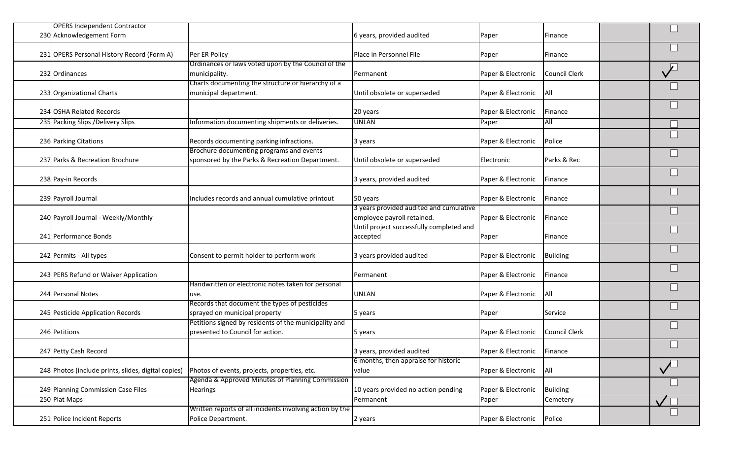| <b>OPERS Independent Contractor</b><br>230 Acknowledgement Form |                                                          | 6 years, provided audited                                             | Paper              | Finance              |  |
|-----------------------------------------------------------------|----------------------------------------------------------|-----------------------------------------------------------------------|--------------------|----------------------|--|
|                                                                 |                                                          |                                                                       |                    |                      |  |
| 231 OPERS Personal History Record (Form A)                      | Per ER Policy                                            | Place in Personnel File                                               | Paper              | Finance              |  |
|                                                                 | Ordinances or laws voted upon by the Council of the      |                                                                       |                    |                      |  |
| 232 Ordinances                                                  | municipality.                                            | Permanent                                                             | Paper & Electronic | <b>Council Clerk</b> |  |
|                                                                 | Charts documenting the structure or hierarchy of a       |                                                                       |                    |                      |  |
| 233 Organizational Charts                                       | municipal department.                                    | Until obsolete or superseded                                          | Paper & Electronic | <b>All</b>           |  |
| 234 OSHA Related Records                                        |                                                          | 20 years                                                              | Paper & Electronic | Finance              |  |
| 235 Packing Slips / Delivery Slips                              | Information documenting shipments or deliveries.         | <b>UNLAN</b>                                                          | Paper              | All                  |  |
|                                                                 |                                                          |                                                                       |                    |                      |  |
| 236 Parking Citations                                           | Records documenting parking infractions.                 | 3 years                                                               | Paper & Electronic | Police               |  |
|                                                                 | Brochure documenting programs and events                 |                                                                       |                    |                      |  |
| 237 Parks & Recreation Brochure                                 | sponsored by the Parks & Recreation Department.          | Until obsolete or superseded                                          | Electronic         | Parks & Rec          |  |
|                                                                 |                                                          |                                                                       |                    |                      |  |
| 238 Pay-in Records                                              |                                                          | 3 years, provided audited                                             | Paper & Electronic | Finance              |  |
|                                                                 |                                                          |                                                                       |                    |                      |  |
| 239 Payroll Journal                                             | Includes records and annual cumulative printout          | 50 years                                                              | Paper & Electronic | Finance              |  |
| 240 Payroll Journal - Weekly/Monthly                            |                                                          | 3 years provided audited and cumulative<br>employee payroll retained. | Paper & Electronic | Finance              |  |
|                                                                 |                                                          | Until project successfully completed and                              |                    |                      |  |
| 241 Performance Bonds                                           |                                                          | accepted                                                              | Paper              | Finance              |  |
|                                                                 |                                                          |                                                                       |                    |                      |  |
| 242 Permits - All types                                         | Consent to permit holder to perform work                 | 3 years provided audited                                              | Paper & Electronic | <b>Building</b>      |  |
|                                                                 |                                                          |                                                                       |                    |                      |  |
| 243 PERS Refund or Waiver Application                           |                                                          | Permanent                                                             | Paper & Electronic | Finance              |  |
|                                                                 | Handwritten or electronic notes taken for personal       |                                                                       |                    |                      |  |
| 244 Personal Notes                                              | use.                                                     | <b>UNLAN</b>                                                          | Paper & Electronic | All                  |  |
|                                                                 | Records that document the types of pesticides            |                                                                       |                    |                      |  |
| 245 Pesticide Application Records                               | sprayed on municipal property                            | 5 years                                                               | Paper              | Service              |  |
|                                                                 | Petitions signed by residents of the municipality and    |                                                                       |                    |                      |  |
| 246 Petitions                                                   | presented to Council for action.                         | 5 years                                                               | Paper & Electronic | Council Clerk        |  |
| 247 Petty Cash Record                                           |                                                          | 3 years, provided audited                                             | Paper & Electronic | Finance              |  |
|                                                                 |                                                          | 6 months, then appraise for historic                                  |                    |                      |  |
| 248 Photos (include prints, slides, digital copies)             | Photos of events, projects, properties, etc.             | value                                                                 | Paper & Electronic | All                  |  |
|                                                                 | Agenda & Approved Minutes of Planning Commission         |                                                                       |                    |                      |  |
| 249 Planning Commission Case Files                              | <b>Hearings</b>                                          | 10 years provided no action pending                                   | Paper & Electronic | <b>Building</b>      |  |
| 250 Plat Maps                                                   |                                                          | Permanent                                                             | Paper              | Cemetery             |  |
|                                                                 | Written reports of all incidents involving action by the |                                                                       |                    |                      |  |
| 251 Police Incident Reports                                     | Police Department.                                       | 2 years                                                               | Paper & Electronic | Police               |  |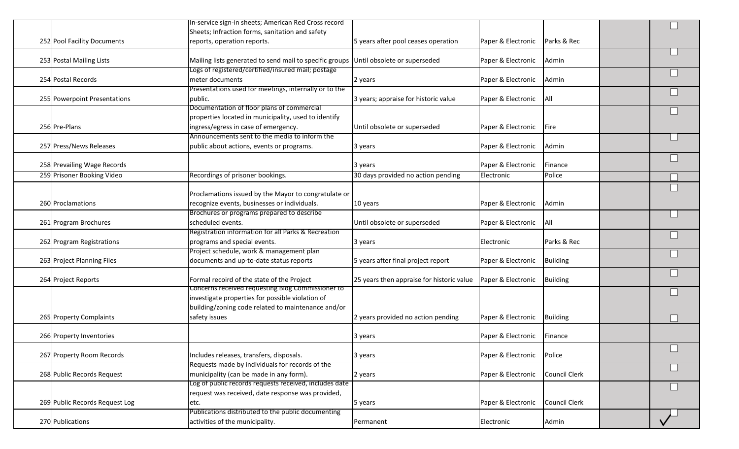|                                | In-service sign-in sheets; American Red Cross record                                 |                                           |                    |                 |  |
|--------------------------------|--------------------------------------------------------------------------------------|-------------------------------------------|--------------------|-----------------|--|
|                                | Sheets; Infraction forms, sanitation and safety                                      |                                           |                    |                 |  |
| 252 Pool Facility Documents    | reports, operation reports.                                                          | 5 years after pool ceases operation       | Paper & Electronic | Parks & Rec     |  |
|                                |                                                                                      |                                           |                    |                 |  |
| 253 Postal Mailing Lists       | Mailing lists generated to send mail to specific groups Until obsolete or superseded |                                           | Paper & Electronic | Admin           |  |
|                                | Logs of registered/certified/insured mail; postage                                   |                                           |                    |                 |  |
| 254 Postal Records             | meter documents                                                                      | 2 years                                   | Paper & Electronic | Admin           |  |
|                                | Presentations used for meetings, internally or to the                                |                                           |                    |                 |  |
| 255 Powerpoint Presentations   | public.                                                                              | 3 years; appraise for historic value      | Paper & Electronic | <b>All</b>      |  |
|                                | Documentation of floor plans of commercial                                           |                                           |                    |                 |  |
|                                | properties located in municipality, used to identify                                 |                                           |                    |                 |  |
| 256 Pre-Plans                  | ingress/egress in case of emergency.                                                 | Until obsolete or superseded              | Paper & Electronic | <b>Fire</b>     |  |
|                                | Announcements sent to the media to inform the                                        |                                           |                    |                 |  |
| 257 Press/News Releases        | public about actions, events or programs.                                            | 3 years                                   | Paper & Electronic | Admin           |  |
|                                |                                                                                      |                                           |                    |                 |  |
| 258 Prevailing Wage Records    |                                                                                      | 3 years                                   | Paper & Electronic | Finance         |  |
| 259 Prisoner Booking Video     | Recordings of prisoner bookings.                                                     | 30 days provided no action pending        | Electronic         | Police          |  |
|                                |                                                                                      |                                           |                    |                 |  |
|                                | Proclamations issued by the Mayor to congratulate or                                 |                                           |                    |                 |  |
| 260 Proclamations              | recognize events, businesses or individuals.                                         | 10 years                                  | Paper & Electronic | Admin           |  |
|                                | Brochures or programs prepared to describe                                           |                                           |                    |                 |  |
| 261 Program Brochures          | scheduled events.                                                                    | Until obsolete or superseded              | Paper & Electronic | All             |  |
|                                | Registration information for all Parks & Recreation                                  |                                           |                    |                 |  |
| 262 Program Registrations      | programs and special events.                                                         | 3 years                                   | Electronic         | Parks & Rec     |  |
|                                | Project schedule, work & management plan                                             |                                           |                    |                 |  |
| 263 Project Planning Files     | documents and up-to-date status reports                                              | 5 years after final project report        | Paper & Electronic | <b>Building</b> |  |
|                                |                                                                                      |                                           |                    |                 |  |
| 264 Project Reports            | Formal recoird of the state of the Project                                           | 25 years then appraise for historic value | Paper & Electronic | <b>Building</b> |  |
|                                | Concerns received requesting Bidg Commissioner to                                    |                                           |                    |                 |  |
|                                | investigate properties for possible violation of                                     |                                           |                    |                 |  |
|                                | building/zoning code related to maintenance and/or                                   |                                           |                    |                 |  |
| 265 Property Complaints        | safety issues                                                                        | 2 years provided no action pending        | Paper & Electronic | <b>Building</b> |  |
|                                |                                                                                      |                                           |                    |                 |  |
| 266 Property Inventories       |                                                                                      | 3 years                                   | Paper & Electronic | Finance         |  |
|                                |                                                                                      |                                           |                    |                 |  |
| 267 Property Room Records      | Includes releases, transfers, disposals.                                             | 3 years                                   | Paper & Electronic | Police          |  |
|                                | Requests made by individuals for records of the                                      |                                           |                    |                 |  |
| 268 Public Records Request     | municipality (can be made in any form).                                              | 2 years                                   | Paper & Electronic | Council Clerk   |  |
|                                | Log of public records requests received, includes date                               |                                           |                    |                 |  |
|                                | request was received, date response was provided,                                    |                                           |                    |                 |  |
| 269 Public Records Request Log | etc.                                                                                 | 5 years                                   | Paper & Electronic | Council Clerk   |  |
|                                | Publications distributed to the public documenting                                   |                                           |                    |                 |  |
| 270 Publications               | activities of the municipality.                                                      | Permanent                                 | Electronic         | Admin           |  |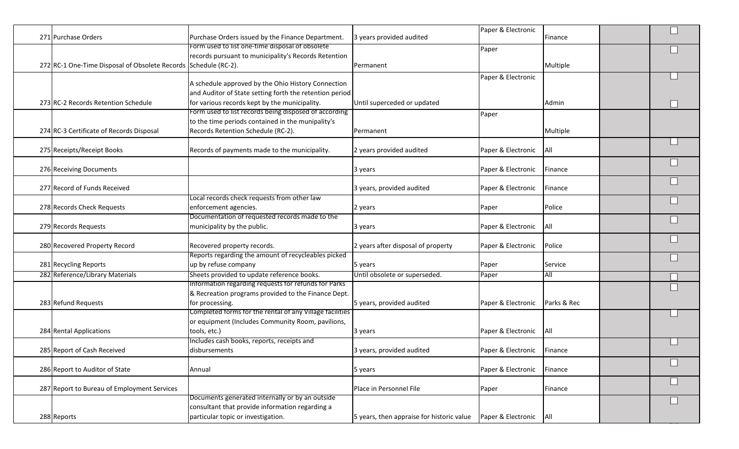|                                                |                                                                                         |                                           | Paper & Electronic         |             |  |
|------------------------------------------------|-----------------------------------------------------------------------------------------|-------------------------------------------|----------------------------|-------------|--|
| 271 Purchase Orders                            | Purchase Orders issued by the Finance Department.                                       | 3 years provided audited                  |                            | Finance     |  |
|                                                | Form used to list one-time disposal of obsolete                                         |                                           | Paper                      |             |  |
|                                                | records pursuant to municipality's Records Retention                                    |                                           |                            |             |  |
| 272 RC-1 One-Time Disposal of Obsolete Records | Schedule (RC-2).                                                                        | Permanent                                 |                            | Multiple    |  |
|                                                |                                                                                         |                                           | Paper & Electronic         |             |  |
|                                                | A schedule approved by the Ohio History Connection                                      |                                           |                            |             |  |
|                                                | and Auditor of State setting forth the retention period                                 |                                           |                            |             |  |
| 273 RC-2 Records Retention Schedule            | for various records kept by the municipality.                                           | Until superceded or updated               |                            | Admin       |  |
|                                                | Form used to list records being disposed of according                                   |                                           | Paper                      |             |  |
|                                                | to the time periods contained in the munipality's<br>Records Retention Schedule (RC-2). |                                           |                            |             |  |
| 274 RC-3 Certificate of Records Disposal       |                                                                                         | Permanent                                 |                            | Multiple    |  |
| 275 Receipts/Receipt Books                     | Records of payments made to the municipality.                                           | 2 years provided audited                  | Paper & Electronic         | All         |  |
|                                                |                                                                                         |                                           |                            |             |  |
| 276 Receiving Documents                        |                                                                                         | 3 years                                   | Paper & Electronic         | Finance     |  |
|                                                |                                                                                         |                                           |                            |             |  |
| 277 Record of Funds Received                   |                                                                                         | 3 years, provided audited                 | Paper & Electronic         | Finance     |  |
|                                                | Local records check requests from other law                                             |                                           |                            |             |  |
| 278 Records Check Requests                     | enforcement agencies.                                                                   | 2 years                                   | Paper                      | Police      |  |
|                                                | Documentation of requested records made to the                                          |                                           |                            |             |  |
| 279 Records Requests                           | municipality by the public.                                                             | 3 years                                   | Paper & Electronic         | All         |  |
|                                                |                                                                                         |                                           |                            |             |  |
| 280 Recovered Property Record                  | Recovered property records.                                                             | 2 years after disposal of property        | Paper & Electronic         | Police      |  |
|                                                | Reports regarding the amount of recycleables picked                                     |                                           |                            |             |  |
| 281 Recycling Reports                          | up by refuse company                                                                    | 5 years                                   | Paper                      | Service     |  |
| 282 Reference/Library Materials                | Sheets provided to update reference books.                                              | Until obsolete or superseded.             | Paper                      | All         |  |
|                                                | Information regarding requests for refunds for Parks                                    |                                           |                            |             |  |
|                                                | & Recreation programs provided to the Finance Dept.                                     |                                           |                            |             |  |
| 283 Refund Requests                            | for processing.                                                                         | 5 years, provided audited                 | Paper & Electronic         | Parks & Rec |  |
|                                                | Completed forms for the rental of any Village facilities                                |                                           |                            |             |  |
|                                                | or equipment (Includes Community Room, pavilions,                                       |                                           |                            |             |  |
| 284 Rental Applications                        | tools, etc.)                                                                            | 3 years                                   | Paper & Electronic         | All         |  |
|                                                | Includes cash books, reports, receipts and                                              |                                           |                            |             |  |
| 285 Report of Cash Received                    | disbursements                                                                           | 3 years, provided audited                 | Paper & Electronic Finance |             |  |
|                                                |                                                                                         |                                           |                            |             |  |
| 286 Report to Auditor of State                 | Annual                                                                                  | 5 years                                   | Paper & Electronic         | Finance     |  |
| 287 Report to Bureau of Employment Services    |                                                                                         | Place in Personnel File                   |                            |             |  |
|                                                | Documents generated internally or by an outside                                         |                                           | Paper                      | Finance     |  |
|                                                | consultant that provide information regarding a                                         |                                           |                            |             |  |
| 288 Reports                                    | particular topic or investigation.                                                      | 5 years, then appraise for historic value | Paper & Electronic   All   |             |  |
|                                                |                                                                                         |                                           |                            |             |  |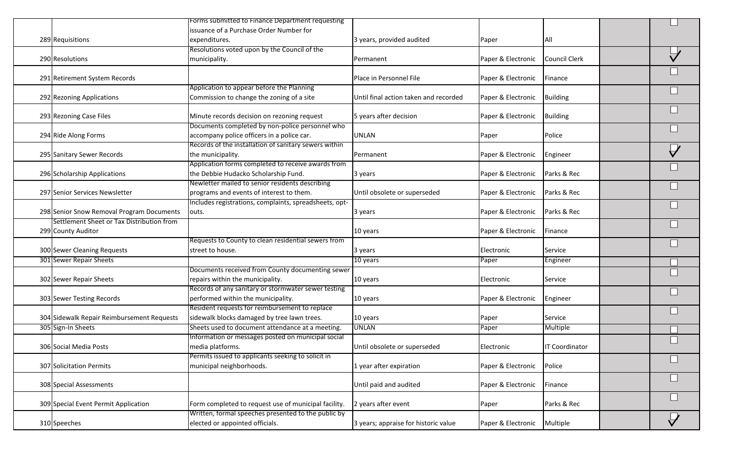|                                            | Forms submitted to Finance Department requesting<br>issuance of a Purchase Order Number for   |                                       |                    |                            |           |
|--------------------------------------------|-----------------------------------------------------------------------------------------------|---------------------------------------|--------------------|----------------------------|-----------|
| 289 Requisitions                           | expenditures.                                                                                 | 3 years, provided audited             | Paper              | All                        |           |
|                                            | Resolutions voted upon by the Council of the                                                  |                                       |                    |                            |           |
| 290 Resolutions                            | municipality.                                                                                 | Permanent                             | Paper & Electronic | Council Clerk              |           |
|                                            |                                                                                               |                                       |                    |                            |           |
| 291 Retirement System Records              |                                                                                               | Place in Personnel File               | Paper & Electronic | Finance                    |           |
|                                            | Application to appear before the Planning                                                     |                                       |                    |                            |           |
| 292 Rezoning Applications                  | Commission to change the zoning of a site                                                     | Until final action taken and recorded | Paper & Electronic | <b>Building</b>            |           |
|                                            |                                                                                               |                                       |                    |                            |           |
| 293 Rezoning Case Files                    | Minute records decision on rezoning request                                                   | 5 years after decision                | Paper & Electronic | <b>Building</b>            |           |
| 294 Ride Along Forms                       | Documents completed by non-police personnel who<br>accompany police officers in a police car. | <b>UNLAN</b>                          |                    | Police                     |           |
|                                            | Records of the installation of sanitary sewers within                                         |                                       | Paper              |                            |           |
| 295 Sanitary Sewer Records                 | the municipality.                                                                             | Permanent                             | Paper & Electronic | Engineer                   |           |
|                                            | Application forms completed to receive awards from                                            |                                       |                    |                            |           |
| 296 Scholarship Applications               | the Debbie Hudacko Scholarship Fund.                                                          | 3 years                               | Paper & Electronic | Parks & Rec                |           |
|                                            | Newletter mailed to senior residents describing                                               |                                       |                    |                            |           |
| 297 Senior Services Newsletter             | programs and events of interest to them.                                                      | Until obsolete or superseded          | Paper & Electronic | Parks & Rec                |           |
|                                            | Includes registrations, complaints, spreadsheets, opt-                                        |                                       |                    |                            |           |
| 298 Senior Snow Removal Program Documents  | outs.                                                                                         | 3 years                               | Paper & Electronic | Parks & Rec                |           |
| Settlement Sheet or Tax Distribution from  |                                                                                               |                                       |                    |                            |           |
| 299 County Auditor                         |                                                                                               | 10 years                              | Paper & Electronic | Finance                    |           |
|                                            | Requests to County to clean residential sewers from                                           |                                       |                    |                            |           |
| 300 Sewer Cleaning Requests                | street to house.                                                                              | 3 years                               | Electronic         | Service                    |           |
| 301 Sewer Repair Sheets                    |                                                                                               | 10 years                              | Paper              | Engineer                   |           |
|                                            | Documents received from County documenting sewer                                              |                                       |                    |                            |           |
| 302 Sewer Repair Sheets                    | repairs within the municipality.                                                              | 10 years                              | Electronic         | Service                    |           |
|                                            | Records of any sanitary or stormwater sewer testing                                           |                                       |                    |                            |           |
| 303 Sewer Testing Records                  | performed within the municipality.                                                            | 10 years                              | Paper & Electronic | Engineer                   |           |
| 304 Sidewalk Repair Reimbursement Requests | Resident requests for reimbursement to replace<br>sidewalk blocks damaged by tree lawn trees. |                                       |                    |                            |           |
| 305 Sign-In Sheets                         | Sheets used to document attendance at a meeting.                                              | 10 years<br><b>UNLAN</b>              | Paper              | Service<br><b>Multiple</b> |           |
|                                            | Information or messages posted on municipal social                                            |                                       | Paper              |                            |           |
| 306 Social Media Posts                     | media platforms.                                                                              | Until obsolete or superseded          | Electronic         | <b>IT Coordinator</b>      |           |
|                                            | Permits issued to applicants seeking to solicit in                                            |                                       |                    |                            |           |
| 307 Solicitation Permits                   | municipal neighborhoods.                                                                      | 1 year after expiration               | Paper & Electronic | Police                     |           |
|                                            |                                                                                               |                                       |                    |                            |           |
| 308 Special Assessments                    |                                                                                               | Until paid and audited                | Paper & Electronic | Finance                    |           |
|                                            |                                                                                               |                                       |                    |                            |           |
| 309 Special Event Permit Application       | Form completed to request use of municipal facility.                                          | 2 years after event                   | Paper              | Parks & Rec                |           |
|                                            | Written, formal speeches presented to the public by                                           |                                       |                    |                            | $\bigvee$ |
| 310 Speeches                               | elected or appointed officials.                                                               | 3 years; appraise for historic value  | Paper & Electronic | Multiple                   |           |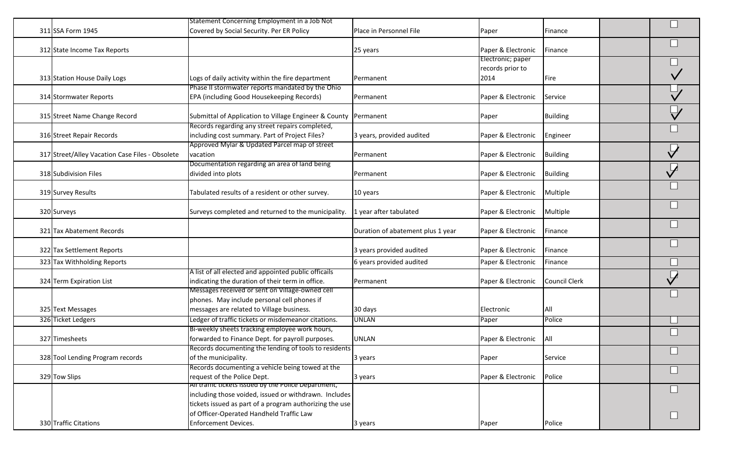| 311 SSA Form 1945                               | Statement Concerning Employment in a Job Not<br>Covered by Social Security. Per ER Policy           | Place in Personnel File           | Paper              | Finance              |  |
|-------------------------------------------------|-----------------------------------------------------------------------------------------------------|-----------------------------------|--------------------|----------------------|--|
|                                                 |                                                                                                     |                                   |                    |                      |  |
| 312 State Income Tax Reports                    |                                                                                                     | 25 years                          | Paper & Electronic | Finance              |  |
|                                                 |                                                                                                     |                                   | Electronic; paper  |                      |  |
|                                                 |                                                                                                     |                                   | records prior to   |                      |  |
| 313 Station House Daily Logs                    | Logs of daily activity within the fire department                                                   | Permanent                         | 2014               | Fire                 |  |
|                                                 | Phase II stormwater reports mandated by the Ohio                                                    |                                   |                    |                      |  |
| 314 Stormwater Reports                          | EPA (including Good Housekeeping Records)                                                           | Permanent                         | Paper & Electronic | Service              |  |
| 315 Street Name Change Record                   | Submittal of Application to Village Engineer & County                                               | Permanent                         | Paper              | <b>Building</b>      |  |
|                                                 | Records regarding any street repairs completed,                                                     |                                   |                    |                      |  |
| 316 Street Repair Records                       | including cost summary. Part of Project Files?                                                      | 3 years, provided audited         | Paper & Electronic | Engineer             |  |
|                                                 | Approved Mylar & Updated Parcel map of street                                                       |                                   |                    |                      |  |
| 317 Street/Alley Vacation Case Files - Obsolete | vacation                                                                                            | Permanent                         | Paper & Electronic | <b>Building</b>      |  |
|                                                 | Documentation regarding an area of land being                                                       |                                   |                    |                      |  |
| 318 Subdivision Files                           | divided into plots                                                                                  | Permanent                         | Paper & Electronic | <b>Building</b>      |  |
|                                                 |                                                                                                     |                                   |                    |                      |  |
| 319 Survey Results                              | Tabulated results of a resident or other survey.                                                    | 10 years                          | Paper & Electronic | Multiple             |  |
|                                                 | Surveys completed and returned to the municipality.                                                 |                                   |                    |                      |  |
| 320 Surveys                                     |                                                                                                     | 1 year after tabulated            | Paper & Electronic | Multiple             |  |
| 321 Tax Abatement Records                       |                                                                                                     | Duration of abatement plus 1 year | Paper & Electronic | Finance              |  |
|                                                 |                                                                                                     |                                   |                    |                      |  |
| 322 Tax Settlement Reports                      |                                                                                                     | 3 years provided audited          | Paper & Electronic | Finance              |  |
|                                                 |                                                                                                     |                                   |                    |                      |  |
| 323 Tax Withholding Reports                     |                                                                                                     | 6 years provided audited          | Paper & Electronic | Finance              |  |
|                                                 | A list of all elected and appointed public officails                                                |                                   |                    | <b>Council Clerk</b> |  |
| 324 Term Expiration List                        | indicating the duration of their term in office.<br>Messages received or sent on Village-owned cell | Permanent                         | Paper & Electronic |                      |  |
|                                                 | phones. May include personal cell phones if                                                         |                                   |                    |                      |  |
| 325 Text Messages                               | messages are related to Village business.                                                           | 30 days                           | Electronic         | All                  |  |
| 326 Ticket Ledgers                              | Ledger of traffic tickets or misdemeanor citations.                                                 | <b>UNLAN</b>                      | Paper              | Police               |  |
|                                                 | Bi-weekly sheets tracking employee work hours,                                                      |                                   |                    |                      |  |
| 327 Timesheets                                  | forwarded to Finance Dept. for payroll purposes.                                                    | <b>UNLAN</b>                      | Paper & Electronic | <b>All</b>           |  |
|                                                 | Records documenting the lending of tools to residents                                               |                                   |                    |                      |  |
| 328 Tool Lending Program records                | of the municipality.                                                                                | 3 years                           | Paper              | Service              |  |
|                                                 | Records documenting a vehicle being towed at the                                                    |                                   |                    |                      |  |
| 329 Tow Slips                                   | request of the Police Dept.                                                                         | 3 years                           | Paper & Electronic | Police               |  |
|                                                 | All traffic tickets issued by the Police Department,                                                |                                   |                    |                      |  |
|                                                 | including those voided, issued or withdrawn. Includes                                               |                                   |                    |                      |  |
|                                                 | tickets issued as part of a program authorizing the use                                             |                                   |                    |                      |  |
|                                                 | of Officer-Operated Handheld Traffic Law                                                            |                                   |                    |                      |  |
| 330 Traffic Citations                           | Enforcement Devices.                                                                                | 3 years                           | Paper              | Police               |  |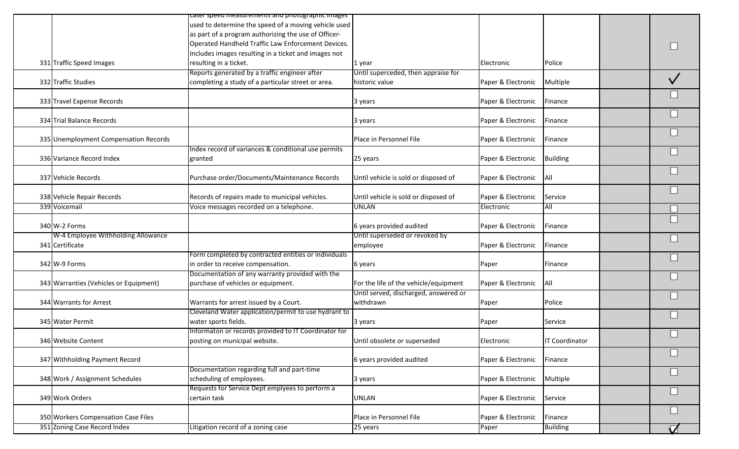|                                        | Laser speed measurements and photographic images     |                                       |                    |                       |  |
|----------------------------------------|------------------------------------------------------|---------------------------------------|--------------------|-----------------------|--|
|                                        | used to determine the speed of a moving vehicle used |                                       |                    |                       |  |
|                                        | as part of a program authorizing the use of Officer- |                                       |                    |                       |  |
|                                        | Operated Handheld Traffic Law Enforcement Devices.   |                                       |                    |                       |  |
|                                        |                                                      |                                       |                    |                       |  |
|                                        | Includes images resulting in a ticket and images not |                                       |                    |                       |  |
| 331 Traffic Speed Images               | resulting in a ticket.                               | 1 year                                | Electronic         | Police                |  |
|                                        | Reports generated by a traffic engineer after        | Until superceded, then appraise for   |                    |                       |  |
| 332 Traffic Studies                    | completing a study of a particular street or area.   | historic value                        | Paper & Electronic | Multiple              |  |
|                                        |                                                      |                                       |                    |                       |  |
| 333 Travel Expense Records             |                                                      | 3 years                               | Paper & Electronic | Finance               |  |
|                                        |                                                      |                                       |                    |                       |  |
| 334 Trial Balance Records              |                                                      |                                       | Paper & Electronic | Finance               |  |
|                                        |                                                      | 3 years                               |                    |                       |  |
|                                        |                                                      |                                       |                    |                       |  |
| 335 Unemployment Compensation Records  |                                                      | Place in Personnel File               | Paper & Electronic | Finance               |  |
|                                        | Index record of variances & conditional use permits  |                                       |                    |                       |  |
| 336 Variance Record Index              | granted                                              | 25 years                              | Paper & Electronic | Building              |  |
|                                        |                                                      |                                       |                    |                       |  |
| 337 Vehicle Records                    | Purchase order/Documents/Maintenance Records         | Until vehicle is sold or disposed of  | Paper & Electronic | <b>All</b>            |  |
|                                        |                                                      |                                       |                    |                       |  |
| 338 Vehicle Repair Records             | Records of repairs made to municipal vehicles.       | Until vehicle is sold or disposed of  | Paper & Electronic | Service               |  |
|                                        |                                                      |                                       |                    |                       |  |
| 339 Voicemail                          | Voice messages recorded on a telephone.              | <b>UNLAN</b>                          | Electronic         | All                   |  |
|                                        |                                                      |                                       |                    |                       |  |
| 340 W-2 Forms                          |                                                      | 6 years provided audited              | Paper & Electronic | Finance               |  |
| W-4 Employee Withholding Allowance     |                                                      | Until superseded or revoked by        |                    |                       |  |
| 341 Certificate                        |                                                      | employee                              | Paper & Electronic | Finance               |  |
|                                        | Form completed by contracted entities or individuals |                                       |                    |                       |  |
| 342 W-9 Forms                          | in order to receive compensation.                    | 6 years                               | Paper              | Finance               |  |
|                                        |                                                      |                                       |                    |                       |  |
|                                        | Documentation of any warranty provided with the      |                                       |                    |                       |  |
| 343 Warranties (Vehicles or Equipment) | purchase of vehicles or equipment.                   | For the life of the vehicle/equipment | Paper & Electronic | <b>All</b>            |  |
|                                        |                                                      | Until served, discharged, answered or |                    |                       |  |
| 344 Warrants for Arrest                | Warrants for arrest issued by a Court.               | withdrawn                             | Paper              | Police                |  |
|                                        | Cleveland Water application/permit to use hydrant to |                                       |                    |                       |  |
| 345 Water Permit                       | water sports fields.                                 | 3 years                               | Paper              | Service               |  |
|                                        | Informaton or records provided to IT Coordinator for |                                       |                    |                       |  |
| 346 Website Content                    | posting on municipal website.                        | Until obsolete or superseded          | Electronic         | <b>IT Coordinator</b> |  |
|                                        |                                                      |                                       |                    |                       |  |
|                                        |                                                      |                                       |                    |                       |  |
| 347 Withholding Payment Record         |                                                      | 6 years provided audited              | Paper & Electronic | Finance               |  |
|                                        | Documentation regarding full and part-time           |                                       |                    |                       |  |
| 348 Work / Assignment Schedules        | scheduling of employees.                             | 3 years                               | Paper & Electronic | Multiple              |  |
|                                        | Requests for Service Dept emplyees to perform a      |                                       |                    |                       |  |
| 349 Work Orders                        | certain task                                         | <b>UNLAN</b>                          | Paper & Electronic | Service               |  |
|                                        |                                                      |                                       |                    |                       |  |
| 350 Workers Compensation Case Files    |                                                      | Place in Personnel File               | Paper & Electronic | Finance               |  |
|                                        |                                                      |                                       |                    |                       |  |
| 351 Zoning Case Record Index           | Litigation record of a zoning case                   | 25 years                              | Paper              | <b>Building</b>       |  |